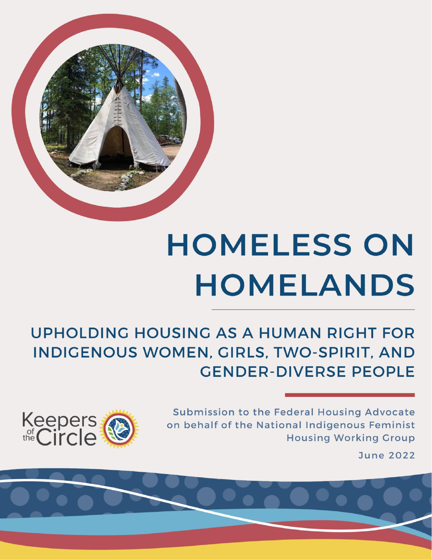

# **HOMELESS ON HOMELANDS**

**UPHOLDING HOUSING AS A HUMAN RIGHT FOR** INDIGENOUS WOMEN, GIRLS, TWO-SPIRIT, AND **GENDER-DIVERSE PEOPLE** 

> Submission to the Federal Housing Advocate on behalf of the National Indigenous Feminist **Housing Working Group**



**June 2022**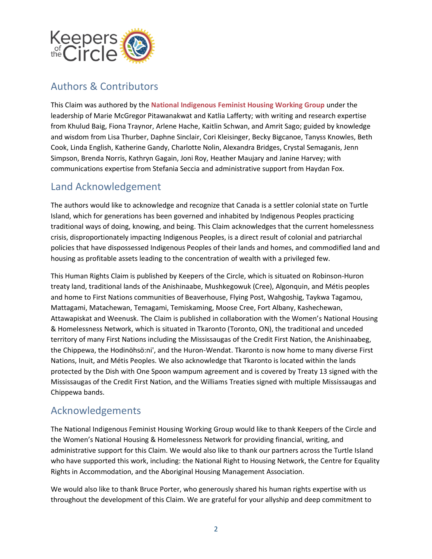

#### <span id="page-1-0"></span>Authors & Contributors

This Claim was authored by the **National Indigenous Feminist Housing Working Group** under the leadership of Marie McGregor Pitawanakwat and Katlia Lafferty; with writing and research expertise from Khulud Baig, Fiona Traynor, Arlene Hache, Kaitlin Schwan, and Amrit Sago; guided by knowledge and wisdom from Lisa Thurber, Daphne Sinclair, Cori Kleisinger, Becky Bigcanoe, Tanyss Knowles, Beth Cook, Linda English, Katherine Gandy, Charlotte Nolin, Alexandra Bridges, Crystal Semaganis, Jenn Simpson, Brenda Norris, Kathryn Gagain, Joni Roy, Heather Maujary and Janine Harvey; with communications expertise from Stefania Seccia and administrative support from Haydan Fox.

#### <span id="page-1-1"></span>Land Acknowledgement

The authors would like to acknowledge and recognize that Canada is a settler colonial state on Turtle Island, which for generations has been governed and inhabited by Indigenous Peoples practicing traditional ways of doing, knowing, and being. This Claim acknowledges that the current homelessness crisis, disproportionately impacting Indigenous Peoples, is a direct result of colonial and patriarchal policies that have dispossessed Indigenous Peoples of their lands and homes, and commodified land and housing as profitable assets leading to the concentration of wealth with a privileged few.

This Human Rights Claim is published by Keepers of the Circle, which is situated on Robinson-Huron treaty land, traditional lands of the Anishinaabe, Mushkegowuk (Cree), Algonquin, and Métis peoples and home to First Nations communities of Beaverhouse, Flying Post, Wahgoshig, Taykwa Tagamou, Mattagami, Matachewan, Temagami, Temiskaming, Moose Cree, Fort Albany, Kashechewan, Attawapiskat and Weenusk. The Claim is published in collaboration with the Women's National Housing & Homelessness Network, which is situated in Tkaronto (Toronto, ON), the traditional and unceded territory of many First Nations including the Mississaugas of the Credit First Nation, the Anishinaabeg, the Chippewa, the Hodinöhsö:ni', and the Huron-Wendat. Tkaronto is now home to many diverse First Nations, Inuit, and Métis Peoples. We also acknowledge that Tkaronto is located within the lands protected by the Dish with One Spoon wampum agreement and is covered by Treaty 13 signed with the Mississaugas of the Credit First Nation, and the Williams Treaties signed with multiple Mississaugas and Chippewa bands.

#### <span id="page-1-2"></span>Acknowledgements

The National Indigenous Feminist Housing Working Group would like to thank Keepers of the Circle and the Women's National Housing & Homelessness Network for providing financial, writing, and administrative support for this Claim. We would also like to thank our partners across the Turtle Island who have supported this work, including: the National Right to Housing Network, the Centre for Equality Rights in Accommodation, and the Aboriginal Housing Management Association.

We would also like to thank Bruce Porter, who generously shared his human rights expertise with us throughout the development of this Claim. We are grateful for your allyship and deep commitment to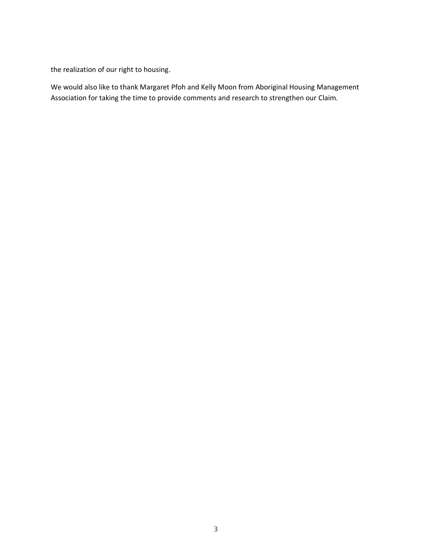the realization of our right to housing.

We would also like to thank Margaret Pfoh and Kelly Moon from Aboriginal Housing Management Association for taking the time to provide comments and research to strengthen our Claim.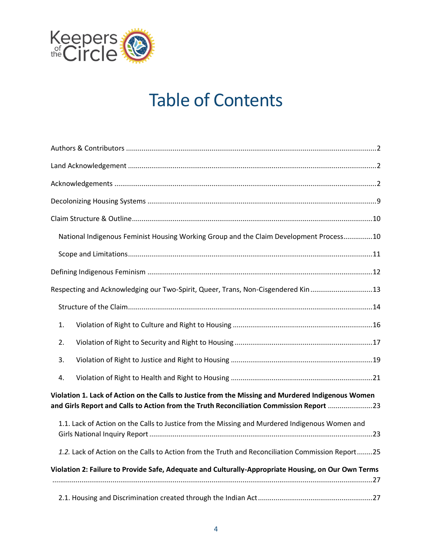

# Table of Contents

| National Indigenous Feminist Housing Working Group and the Claim Development Process10                                                                                                        |  |  |
|-----------------------------------------------------------------------------------------------------------------------------------------------------------------------------------------------|--|--|
|                                                                                                                                                                                               |  |  |
|                                                                                                                                                                                               |  |  |
| Respecting and Acknowledging our Two-Spirit, Queer, Trans, Non-Cisgendered Kin13                                                                                                              |  |  |
|                                                                                                                                                                                               |  |  |
| 1.                                                                                                                                                                                            |  |  |
| 2.                                                                                                                                                                                            |  |  |
| 3.                                                                                                                                                                                            |  |  |
| 4.                                                                                                                                                                                            |  |  |
| Violation 1. Lack of Action on the Calls to Justice from the Missing and Murdered Indigenous Women<br>and Girls Report and Calls to Action from the Truth Reconciliation Commission Report 23 |  |  |
| 1.1. Lack of Action on the Calls to Justice from the Missing and Murdered Indigenous Women and                                                                                                |  |  |
| 1.2. Lack of Action on the Calls to Action from the Truth and Reconciliation Commission Report25                                                                                              |  |  |
| Violation 2: Failure to Provide Safe, Adequate and Culturally-Appropriate Housing, on Our Own Terms                                                                                           |  |  |
|                                                                                                                                                                                               |  |  |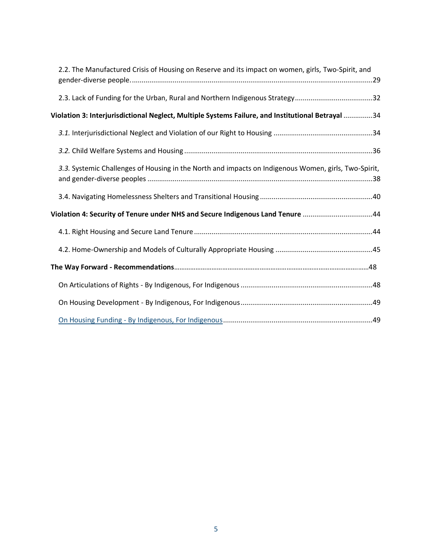| 2.2. The Manufactured Crisis of Housing on Reserve and its impact on women, girls, Two-Spirit, and   |  |  |
|------------------------------------------------------------------------------------------------------|--|--|
| 2.3. Lack of Funding for the Urban, Rural and Northern Indigenous Strategy32                         |  |  |
| Violation 3: Interjurisdictional Neglect, Multiple Systems Failure, and Institutional Betrayal 34    |  |  |
|                                                                                                      |  |  |
|                                                                                                      |  |  |
| 3.3. Systemic Challenges of Housing in the North and impacts on Indigenous Women, girls, Two-Spirit, |  |  |
|                                                                                                      |  |  |
| Violation 4: Security of Tenure under NHS and Secure Indigenous Land Tenure 44                       |  |  |
|                                                                                                      |  |  |
|                                                                                                      |  |  |
|                                                                                                      |  |  |
|                                                                                                      |  |  |
|                                                                                                      |  |  |
|                                                                                                      |  |  |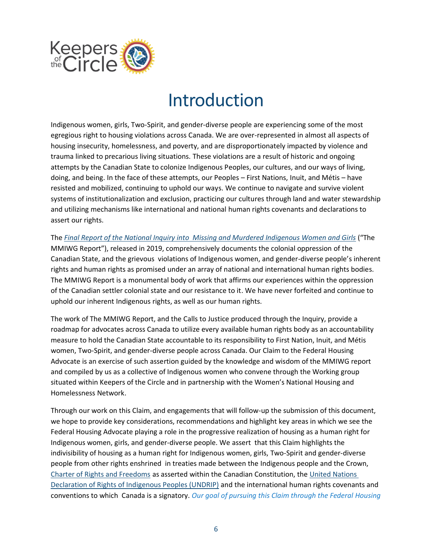

# Introduction

Indigenous women, girls, Two-Spirit, and gender-diverse people are experiencing some of the most egregious right to housing violations across Canada. We are over-represented in almost all aspects of housing insecurity, homelessness, and poverty, and are disproportionately impacted by violence and trauma linked to precarious living situations. These violations are a result of historic and ongoing attempts by the Canadian State to colonize Indigenous Peoples, our cultures, and our ways of living, doing, and being. In the face of these attempts, our Peoples – First Nations, Inuit, and Métis – have resisted and mobilized, continuing to uphold our ways. We continue to navigate and survive violent systems of institutionalization and exclusion, practicing our cultures through land and water stewardship and utilizing mechanisms like international and national human rights covenants and declarations to assert our rights.

The *[Final Report of the National Inquiry into Missing and Murdered Indigenous Women and Girls](https://www.mmiwg-ffada.ca/final-report/)* ("The MMIWG Report"), released in 2019, comprehensively documents the colonial oppression of the Canadian State, and the grievous violations of Indigenous women, and gender-diverse people's inherent rights and human rights as promised under an array of national and international human rights bodies. The MMIWG Report is a monumental body of work that affirms our experiences within the oppression of the Canadian settler colonial state and our resistance to it. We have never forfeited and continue to uphold our inherent Indigenous rights, as well as our human rights.

The work of The MMIWG Report, and the Calls to Justice produced through the Inquiry, provide a roadmap for advocates across Canada to utilize every available human rights body as an accountability measure to hold the Canadian State accountable to its responsibility to First Nation, Inuit, and Métis women, Two-Spirit, and gender-diverse people across Canada. Our Claim to the Federal Housing Advocate is an exercise of such assertion guided by the knowledge and wisdom of the MMIWG report and compiled by us as a collective of Indigenous women who convene through the Working group situated within Keepers of the Circle and in partnership with the Women's National Housing and Homelessness Network.

Through our work on this Claim, and engagements that will follow-up the submission of this document, we hope to provide key considerations, recommendations and highlight key areas in which we see the Federal Housing Advocate playing a role in the progressive realization of housing as a human right for Indigenous women, girls, and gender-diverse people. We assert that this Claim highlights the indivisibility of housing as a human right for Indigenous women, girls, Two-Spirit and gender-diverse people from other rights enshrined in treaties made between the Indigenous people and the Crown, [Charter of Rights and Freedoms](https://laws-lois.justice.gc.ca/eng/const/page-12.html) as asserted within the Canadian Constitution, th[e United Nations](https://www.un.org/development/desa/indigenouspeoples/declaration-on-the-rights-of-indigenous-peoples.html)  [Declaration of Rights of Indigenous Peoples \(UNDRIP\)](https://www.un.org/development/desa/indigenouspeoples/declaration-on-the-rights-of-indigenous-peoples.html) and the international human rights covenants and conventions to which Canada is a signatory. *Our goal of pursuing this Claim through the Federal Housing*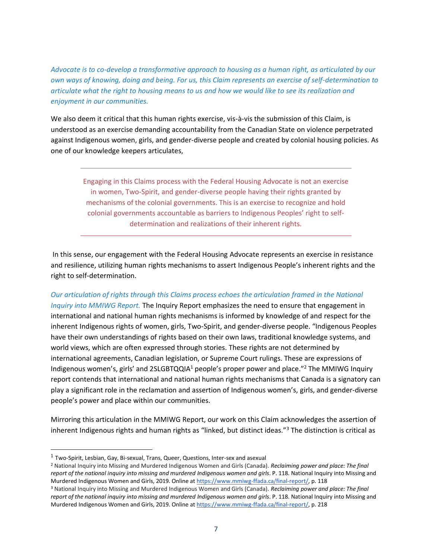*Advocate is to co-develop a transformative approach to housing as a human right, as articulated by our own ways of knowing, doing and being. For us, this Claim represents an exercise of self-determination to articulate what the right to housing means to us and how we would like to see its realization and enjoyment in our communities.* 

We also deem it critical that this human rights exercise, vis-à-vis the submission of this Claim, is understood as an exercise demanding accountability from the Canadian State on violence perpetrated against Indigenous women, girls, and gender-diverse people and created by colonial housing policies. As one of our knowledge keepers articulates,

Engaging in this Claims process with the Federal Housing Advocate is not an exercise in women, Two-Spirit, and gender-diverse people having their rights granted by mechanisms of the colonial governments. This is an exercise to recognize and hold colonial governments accountable as barriers to Indigenous Peoples' right to selfdetermination and realizations of their inherent rights.

In this sense, our engagement with the Federal Housing Advocate represents an exercise in resistance and resilience, utilizing human rights mechanisms to assert Indigenous People's inherent rights and the right to self-determination.

#### *Our articulation of rights through this Claims process echoes the articulation framed in the National*

*Inquiry into MMIWG Report.* The Inquiry Report emphasizes the need to ensure that engagement in international and national human rights mechanisms is informed by knowledge of and respect for the inherent Indigenous rights of women, girls, Two-Spirit, and gender-diverse people. "Indigenous Peoples have their own understandings of rights based on their own laws, traditional knowledge systems, and world views, which are often expressed through stories. These rights are not determined by international agreements, Canadian legislation, or Supreme Court rulings. These are expressions of Indigenous women's, girls' and 2SLGBTQQIA<sup>1</sup> people's proper power and place."<sup>2</sup> The MMIWG Inquiry report contends that international and national human rights mechanisms that Canada is a signatory can play a significant role in the reclamation and assertion of Indigenous women's, girls, and gender-diverse people's power and place within our communities.

Mirroring this articulation in the MMIWG Report, our work on this Claim acknowledges the assertion of inherent Indigenous rights and human rights as "linked, but distinct ideas."<sup>3</sup> The distinction is critical as

<sup>&</sup>lt;sup>1</sup> Two-Spirit, Lesbian, Gay, Bi-sexual, Trans, Queer, Questions, Inter-sex and asexual

<sup>2</sup> National Inquiry into Missing and Murdered Indigenous Women and Girls (Canada). *Reclaiming power and place: The final report of the national inquiry into missing and murdered Indigenous women and girls*. P. 118. National Inquiry into Missing and Murdered Indigenous Women and Girls, 2019. Online at [https://www.mmiwg-ffada.ca/final-report/,](https://www.mmiwg-ffada.ca/final-report/) p. 118

<sup>3</sup> National Inquiry into Missing and Murdered Indigenous Women and Girls (Canada). *Reclaiming power and place: The final report of the national inquiry into missing and murdered Indigenous women and girls*. P. 118. National Inquiry into Missing and Murdered Indigenous Women and Girls, 2019. Online at [https://www.mmiwg-ffada.ca/final-report/,](https://www.mmiwg-ffada.ca/final-report/) p. 218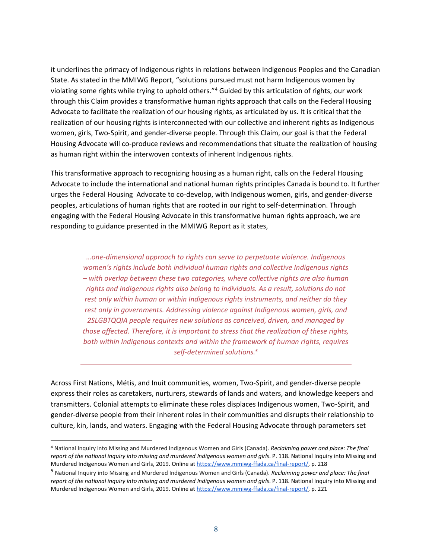it underlines the primacy of Indigenous rights in relations between Indigenous Peoples and the Canadian State. As stated in the MMIWG Report, "solutions pursued must not harm Indigenous women by violating some rights while trying to uphold others."<sup>4</sup> Guided by this articulation of rights, our work through this Claim provides a transformative human rights approach that calls on the Federal Housing Advocate to facilitate the realization of our housing rights, as articulated by us. It is critical that the realization of our housing rights is interconnected with our collective and inherent rights as Indigenous women, girls, Two-Spirit, and gender-diverse people. Through this Claim, our goal is that the Federal Housing Advocate will co-produce reviews and recommendations that situate the realization of housing as human right within the interwoven contexts of inherent Indigenous rights.

This transformative approach to recognizing housing as a human right, calls on the Federal Housing Advocate to include the international and national human rights principles Canada is bound to. It further urges the Federal Housing Advocate to co-develop, with Indigenous women, girls, and gender-diverse peoples, articulations of human rights that are rooted in our right to self-determination. Through engaging with the Federal Housing Advocate in this transformative human rights approach, we are responding to guidance presented in the MMIWG Report as it states,

*…one-dimensional approach to rights can serve to perpetuate violence. Indigenous women's rights include both individual human rights and collective Indigenous rights – with overlap between these two categories, where collective rights are also human rights and Indigenous rights also belong to individuals. As a result, solutions do not rest only within human or within Indigenous rights instruments, and neither do they rest only in governments. Addressing violence against Indigenous women, girls, and 2SLGBTQQIA people requires new solutions as conceived, driven, and managed by those affected. Therefore, it is important to stress that the realization of these rights, both within Indigenous contexts and within the framework of human rights, requires self-determined solutions.<sup>5</sup>*

Across First Nations, Métis, and Inuit communities, women, Two-Spirit, and gender-diverse people express their roles as caretakers, nurturers, stewards of lands and waters, and knowledge keepers and transmitters. Colonial attempts to eliminate these roles displaces Indigenous women, Two-Spirit, and gender-diverse people from their inherent roles in their communities and disrupts their relationship to culture, kin, lands, and waters. Engaging with the Federal Housing Advocate through parameters set

<sup>4</sup> National Inquiry into Missing and Murdered Indigenous Women and Girls (Canada). *Reclaiming power and place: The final report of the national inquiry into missing and murdered Indigenous women and girls*. P. 118. National Inquiry into Missing and Murdered Indigenous Women and Girls, 2019. Online at [https://www.mmiwg-ffada.ca/final-report/,](https://www.mmiwg-ffada.ca/final-report/) p. 218

<sup>5</sup> National Inquiry into Missing and Murdered Indigenous Women and Girls (Canada). *Reclaiming power and place: The final report of the national inquiry into missing and murdered Indigenous women and girls*. P. 118. National Inquiry into Missing and Murdered Indigenous Women and Girls, 2019. Online at [https://www.mmiwg-ffada.ca/final-report/,](https://www.mmiwg-ffada.ca/final-report/) p. 221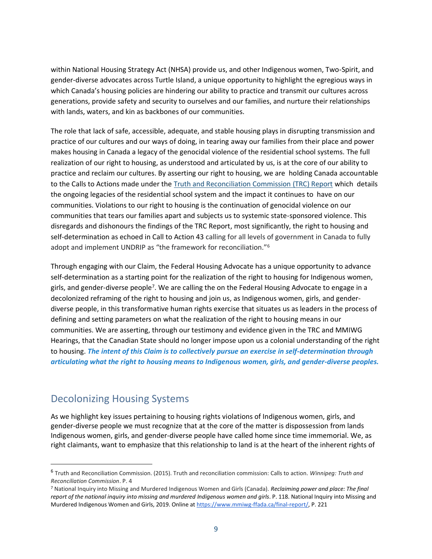within National Housing Strategy Act (NHSA) provide us, and other Indigenous women, Two-Spirit, and gender-diverse advocates across Turtle Island, a unique opportunity to highlight the egregious ways in which Canada's housing policies are hindering our ability to practice and transmit our cultures across generations, provide safety and security to ourselves and our families, and nurture their relationships with lands, waters, and kin as backbones of our communities.

The role that lack of safe, accessible, adequate, and stable housing plays in disrupting transmission and practice of our cultures and our ways of doing, in tearing away our families from their place and power makes housing in Canada a legacy of the genocidal violence of the residential school systems. The full realization of our right to housing, as understood and articulated by us, is at the core of our ability to practice and reclaim our cultures. By asserting our right to housing, we are holding Canada accountable to the Calls to Actions made under the [Truth and Reconciliation Commission \(TRC\) Report](https://nctr.ca/records/reports/#trc-reports) which details the ongoing legacies of the residential school system and the impact it continues to have on our communities. Violations to our right to housing is the continuation of genocidal violence on our communities that tears our families apart and subjects us to systemic state-sponsored violence. This disregards and dishonours the findings of the TRC Report, most significantly, the right to housing and self-determination as echoed in Call to Action 43 calling for all levels of government in Canada to fully adopt and implement UNDRIP as "the framework for reconciliation."<sup>6</sup>

Through engaging with our Claim, the Federal Housing Advocate has a unique opportunity to advance self-determination as a starting point for the realization of the right to housing for Indigenous women, girls, and gender-diverse people<sup>7</sup>. We are calling the on the Federal Housing Advocate to engage in a decolonized reframing of the right to housing and join us, as Indigenous women, girls, and genderdiverse people, in this transformative human rights exercise that situates us as leaders in the process of defining and setting parameters on what the realization of the right to housing means in our communities. We are asserting, through our testimony and evidence given in the TRC and MMIWG Hearings, that the Canadian State should no longer impose upon us a colonial understanding of the right to housing. *The intent of this Claim is to collectively pursue an exercise in self-determination through articulating what the right to housing means to Indigenous women, girls, and gender-diverse peoples.*

#### <span id="page-8-0"></span>Decolonizing Housing Systems

As we highlight key issues pertaining to housing rights violations of Indigenous women, girls, and gender-diverse people we must recognize that at the core of the matter is dispossession from lands Indigenous women, girls, and gender-diverse people have called home since time immemorial. We, as right claimants, want to emphasize that this relationship to land is at the heart of the inherent rights of

<sup>6</sup> Truth and Reconciliation Commission. (2015). Truth and reconciliation commission: Calls to action. *Winnipeg: Truth and Reconciliation Commission*. P. 4

<sup>7</sup> National Inquiry into Missing and Murdered Indigenous Women and Girls (Canada). *Reclaiming power and place: The final report of the national inquiry into missing and murdered Indigenous women and girls*. P. 118. National Inquiry into Missing and Murdered Indigenous Women and Girls, 2019. Online at [https://www.mmiwg-ffada.ca/final-report/,](https://www.mmiwg-ffada.ca/final-report/) P. 221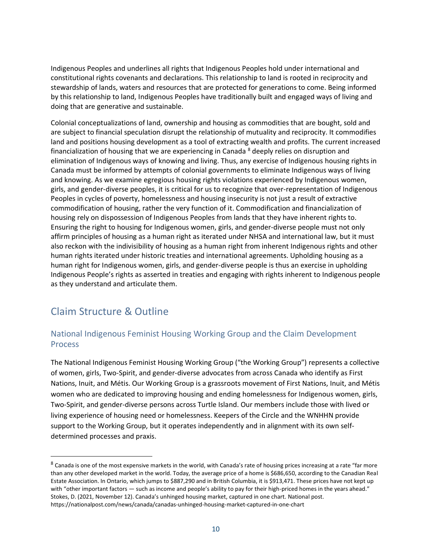Indigenous Peoples and underlines all rights that Indigenous Peoples hold under international and constitutional rights covenants and declarations. This relationship to land is rooted in reciprocity and stewardship of lands, waters and resources that are protected for generations to come. Being informed by this relationship to land, Indigenous Peoples have traditionally built and engaged ways of living and doing that are generative and sustainable.

Colonial conceptualizations of land, ownership and housing as commodities that are bought, sold and are subject to financial speculation disrupt the relationship of mutuality and reciprocity. It commodifies land and positions housing development as a tool of extracting wealth and profits. The current increased financialization of housing that we are experiencing in Canada  $8$  deeply relies on disruption and elimination of Indigenous ways of knowing and living. Thus, any exercise of Indigenous housing rights in Canada must be informed by attempts of colonial governments to eliminate Indigenous ways of living and knowing. As we examine egregious housing rights violations experienced by Indigenous women, girls, and gender-diverse peoples, it is critical for us to recognize that over-representation of Indigenous Peoples in cycles of poverty, homelessness and housing insecurity is not just a result of extractive commodification of housing, rather the very function of it. Commodification and financialization of housing rely on dispossession of Indigenous Peoples from lands that they have inherent rights to. Ensuring the right to housing for Indigenous women, girls, and gender-diverse people must not only affirm principles of housing as a human right as iterated under NHSA and international law, but it must also reckon with the indivisibility of housing as a human right from inherent Indigenous rights and other human rights iterated under historic treaties and international agreements. Upholding housing as a human right for Indigenous women, girls, and gender-diverse people is thus an exercise in upholding Indigenous People's rights as asserted in treaties and engaging with rights inherent to Indigenous people as they understand and articulate them.

#### <span id="page-9-0"></span>Claim Structure & Outline

#### <span id="page-9-1"></span>National Indigenous Feminist Housing Working Group and the Claim Development Process

The National Indigenous Feminist Housing Working Group ("the Working Group") represents a collective of women, girls, Two-Spirit, and gender-diverse advocates from across Canada who identify as First Nations, Inuit, and Métis. Our Working Group is a grassroots movement of First Nations, Inuit, and Métis women who are dedicated to improving housing and ending homelessness for Indigenous women, girls, Two-Spirit, and gender-diverse persons across Turtle Island. Our members include those with lived or living experience of housing need or homelessness. Keepers of the Circle and the WNHHN provide support to the Working Group, but it operates independently and in alignment with its own selfdetermined processes and praxis.

<sup>&</sup>lt;sup>8</sup> Canada is one of the most expensive markets in the world, with Canada's rate of housing prices increasing at a rate "far more than any other developed market in the world. Today, the average price of a home is \$686,650, according to the Canadian Real Estate Association. In Ontario, which jumps to \$887,290 and in British Columbia, it is \$913,471. These prices have not kept up with "other important factors - such as income and people's ability to pay for their high-priced homes in the years ahead." Stokes, D. (2021, November 12). Canada's unhinged housing market, captured in one chart. National post. https://nationalpost.com/news/canada/canadas-unhinged-housing-market-captured-in-one-chart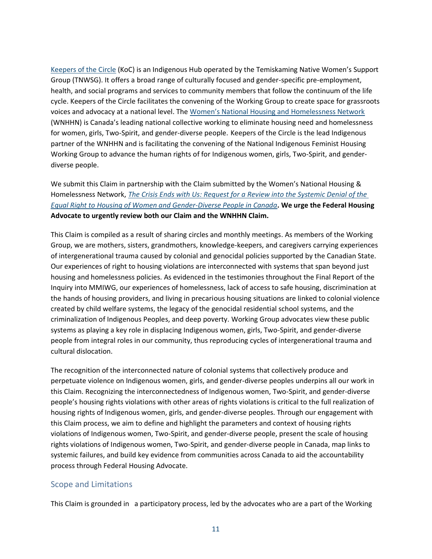[Keepers of the Circle](https://keepersofthecircle.com/) (KoC) is an Indigenous Hub operated by the Temiskaming Native Women's Support Group (TNWSG). It offers a broad range of culturally focused and gender-specific pre-employment, health, and social programs and services to community members that follow the continuum of the life cycle. Keepers of the Circle facilitates the convening of the Working Group to create space for grassroots voices and advocacy at a national level. The [Women's National Housing and Homelessness Network](https://womenshomelessness.ca/) (WNHHN) is Canada's leading national collective working to eliminate housing need and homelessness for women, girls, Two-Spirit, and gender-diverse people. Keepers of the Circle is the lead Indigenous partner of the WNHHN and is facilitating the convening of the National Indigenous Feminist Housing Working Group to advance the human rights of for Indigenous women, girls, Two-Spirit, and genderdiverse people.

We submit this Claim in partnership with the Claim submitted by the Women's National Housing & Homelessness Network, *[The Crisis Ends with Us: Request for a Review into the Systemic Denial of the](https://womenshomelessness.ca/wp-content/uploads/WNHHN-Housing-Claim-14-June-2022.pdf)  [Equal Right to Housing of Women and Gender-Diverse People in Canada](https://womenshomelessness.ca/wp-content/uploads/WNHHN-Housing-Claim-14-June-2022.pdf)***. We urge the Federal Housing Advocate to urgently review both our Claim and the WNHHN Claim.** 

This Claim is compiled as a result of sharing circles and monthly meetings. As members of the Working Group, we are mothers, sisters, grandmothers, knowledge-keepers, and caregivers carrying experiences of intergenerational trauma caused by colonial and genocidal policies supported by the Canadian State. Our experiences of right to housing violations are interconnected with systems that span beyond just housing and homelessness policies. As evidenced in the testimonies throughout the Final Report of the Inquiry into MMIWG, our experiences of homelessness, lack of access to safe housing, discrimination at the hands of housing providers, and living in precarious housing situations are linked to colonial violence created by child welfare systems, the legacy of the genocidal residential school systems, and the criminalization of Indigenous Peoples, and deep poverty. Working Group advocates view these public systems as playing a key role in displacing Indigenous women, girls, Two-Spirit, and gender-diverse people from integral roles in our community, thus reproducing cycles of intergenerational trauma and cultural dislocation.

The recognition of the interconnected nature of colonial systems that collectively produce and perpetuate violence on Indigenous women, girls, and gender-diverse peoples underpins all our work in this Claim. Recognizing the interconnectedness of Indigenous women, Two-Spirit, and gender-diverse people's housing rights violations with other areas of rights violations is critical to the full realization of housing rights of Indigenous women, girls, and gender-diverse peoples. Through our engagement with this Claim process, we aim to define and highlight the parameters and context of housing rights violations of Indigenous women, Two-Spirit, and gender-diverse people, present the scale of housing rights violations of Indigenous women, Two-Spirit, and gender-diverse people in Canada, map links to systemic failures, and build key evidence from communities across Canada to aid the accountability process through Federal Housing Advocate.

#### <span id="page-10-0"></span>Scope and Limitations

This Claim is grounded in a participatory process, led by the advocates who are a part of the Working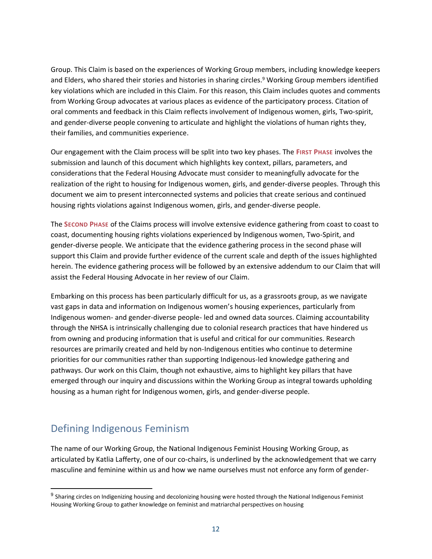Group. This Claim is based on the experiences of Working Group members, including knowledge keepers and Elders, who shared their stories and histories in sharing circles. <sup>9</sup> Working Group members identified key violations which are included in this Claim. For this reason, this Claim includes quotes and comments from Working Group advocates at various places as evidence of the participatory process. Citation of oral comments and feedback in this Claim reflects involvement of Indigenous women, girls, Two-spirit, and gender-diverse people convening to articulate and highlight the violations of human rights they, their families, and communities experience.

Our engagement with the Claim process will be split into two key phases. The **FIRST PHASE** involves the submission and launch of this document which highlights key context, pillars, parameters, and considerations that the Federal Housing Advocate must consider to meaningfully advocate for the realization of the right to housing for Indigenous women, girls, and gender-diverse peoples. Through this document we aim to present interconnected systems and policies that create serious and continued housing rights violations against Indigenous women, girls, and gender-diverse people.

The **SECOND PHASE** of the Claims process will involve extensive evidence gathering from coast to coast to coast, documenting housing rights violations experienced by Indigenous women, Two-Spirit, and gender-diverse people. We anticipate that the evidence gathering process in the second phase will support this Claim and provide further evidence of the current scale and depth of the issues highlighted herein. The evidence gathering process will be followed by an extensive addendum to our Claim that will assist the Federal Housing Advocate in her review of our Claim.

Embarking on this process has been particularly difficult for us, as a grassroots group, as we navigate vast gaps in data and information on Indigenous women's housing experiences, particularly from Indigenous women- and gender-diverse people- led and owned data sources. Claiming accountability through the NHSA is intrinsically challenging due to colonial research practices that have hindered us from owning and producing information that is useful and critical for our communities. Research resources are primarily created and held by non-Indigenous entities who continue to determine priorities for our communities rather than supporting Indigenous-led knowledge gathering and pathways. Our work on this Claim, though not exhaustive, aims to highlight key pillars that have emerged through our inquiry and discussions within the Working Group as integral towards upholding housing as a human right for Indigenous women, girls, and gender-diverse people.

#### <span id="page-11-0"></span>Defining Indigenous Feminism

The name of our Working Group, the National Indigenous Feminist Housing Working Group, as articulated by Katlia Lafferty, one of our co-chairs, is underlined by the acknowledgement that we carry masculine and feminine within us and how we name ourselves must not enforce any form of gender-

<sup>&</sup>lt;sup>9</sup> Sharing circles on Indigenizing housing and decolonizing housing were hosted through the National Indigenous Feminist Housing Working Group to gather knowledge on feminist and matriarchal perspectives on housing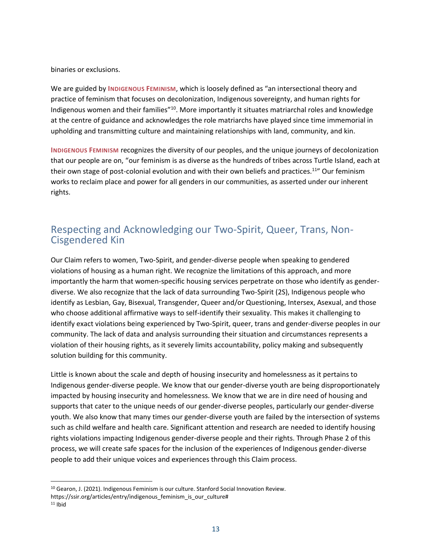binaries or exclusions.

We are guided by **INDIGENOUS FEMINISM**, which is loosely defined as "an intersectional theory and practice of feminism that focuses on decolonization, Indigenous sovereignty, and human rights for Indigenous women and their families"<sup>10</sup>. More importantly it situates matriarchal roles and knowledge at the centre of guidance and acknowledges the role matriarchs have played since time immemorial in upholding and transmitting culture and maintaining relationships with land, community, and kin.

**INDIGENOUS FEMINISM** recognizes the diversity of our peoples, and the unique journeys of decolonization that our people are on, "our feminism is as diverse as the hundreds of tribes across Turtle Island, each at their own stage of post-colonial evolution and with their own beliefs and practices.<sup>11</sup>" Our feminism works to reclaim place and power for all genders in our communities, as asserted under our inherent rights.

#### <span id="page-12-0"></span>Respecting and Acknowledging our Two-Spirit, Queer, Trans, Non-Cisgendered Kin

Our Claim refers to women, Two-Spirit, and gender-diverse people when speaking to gendered violations of housing as a human right. We recognize the limitations of this approach, and more importantly the harm that women-specific housing services perpetrate on those who identify as genderdiverse. We also recognize that the lack of data surrounding Two-Spirit (2S), Indigenous people who identify as Lesbian, Gay, Bisexual, Transgender, Queer and/or Questioning, Intersex, Asexual, and those who choose additional affirmative ways to self-identify their sexuality. This makes it challenging to identify exact violations being experienced by Two-Spirit, queer, trans and gender-diverse peoples in our community. The lack of data and analysis surrounding their situation and circumstances represents a violation of their housing rights, as it severely limits accountability, policy making and subsequently solution building for this community.

Little is known about the scale and depth of housing insecurity and homelessness as it pertains to Indigenous gender-diverse people. We know that our gender-diverse youth are being disproportionately impacted by housing insecurity and homelessness. We know that we are in dire need of housing and supports that cater to the unique needs of our gender-diverse peoples, particularly our gender-diverse youth. We also know that many times our gender-diverse youth are failed by the intersection of systems such as child welfare and health care. Significant attention and research are needed to identify housing rights violations impacting Indigenous gender-diverse people and their rights. Through Phase 2 of this process, we will create safe spaces for the inclusion of the experiences of Indigenous gender-diverse people to add their unique voices and experiences through this Claim process.

<sup>10</sup> Gearon, J. (2021). Indigenous Feminism is our culture. Stanford Social Innovation Review.

https://ssir.org/articles/entry/indigenous feminism is our culture#

 $11$  Ibid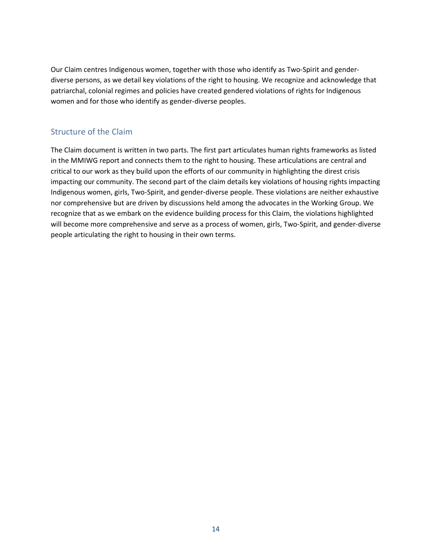Our Claim centres Indigenous women, together with those who identify as Two-Spirit and genderdiverse persons, as we detail key violations of the right to housing. We recognize and acknowledge that patriarchal, colonial regimes and policies have created gendered violations of rights for Indigenous women and for those who identify as gender-diverse peoples.

#### <span id="page-13-0"></span>Structure of the Claim

The Claim document is written in two parts. The first part articulates human rights frameworks as listed in the MMIWG report and connects them to the right to housing. These articulations are central and critical to our work as they build upon the efforts of our community in highlighting the direst crisis impacting our community. The second part of the claim details key violations of housing rights impacting Indigenous women, girls, Two-Spirit, and gender-diverse people. These violations are neither exhaustive nor comprehensive but are driven by discussions held among the advocates in the Working Group. We recognize that as we embark on the evidence building process for this Claim, the violations highlighted will become more comprehensive and serve as a process of women, girls, Two-Spirit, and gender-diverse people articulating the right to housing in their own terms.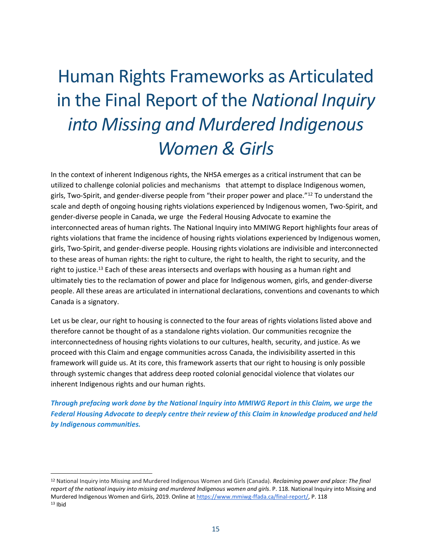# Human Rights Frameworks as Articulated in the Final Report of the *National Inquiry into Missing and Murdered Indigenous Women & Girls*

In the context of inherent Indigenous rights, the NHSA emerges as a critical instrument that can be utilized to challenge colonial policies and mechanisms that attempt to displace Indigenous women, girls, Two-Spirit, and gender-diverse people from "their proper power and place."<sup>12</sup> To understand the scale and depth of ongoing housing rights violations experienced by Indigenous women, Two-Spirit, and gender-diverse people in Canada, we urge the Federal Housing Advocate to examine the interconnected areas of human rights. The National Inquiry into MMIWG Report highlights four areas of rights violations that frame the incidence of housing rights violations experienced by Indigenous women, girls, Two-Spirit, and gender-diverse people. Housing rights violations are indivisible and interconnected to these areas of human rights: the right to culture, the right to health, the right to security, and the right to justice.<sup>13</sup> Each of these areas intersects and overlaps with housing as a human right and ultimately ties to the reclamation of power and place for Indigenous women, girls, and gender-diverse people. All these areas are articulated in international declarations, conventions and covenants to which Canada is a signatory.

Let us be clear, our right to housing is connected to the four areas of rights violations listed above and therefore cannot be thought of as a standalone rights violation. Our communities recognize the interconnectedness of housing rights violations to our cultures, health, security, and justice. As we proceed with this Claim and engage communities across Canada, the indivisibility asserted in this framework will guide us. At its core, this framework asserts that our right to housing is only possible through systemic changes that address deep rooted colonial genocidal violence that violates our inherent Indigenous rights and our human rights.

*Through prefacing work done by the National Inquiry into MMIWG Report in this Claim, we urge the Federal Housing Advocate to deeply centre their review of this Claim in knowledge produced and held by Indigenous communities.* 

<sup>12</sup> National Inquiry into Missing and Murdered Indigenous Women and Girls (Canada). *Reclaiming power and place: The final report of the national inquiry into missing and murdered Indigenous women and girls*. P. 118. National Inquiry into Missing and Murdered Indigenous Women and Girls, 2019. Online at [https://www.mmiwg-ffada.ca/final-report/,](https://www.mmiwg-ffada.ca/final-report/) P. 118  $13$  Ibid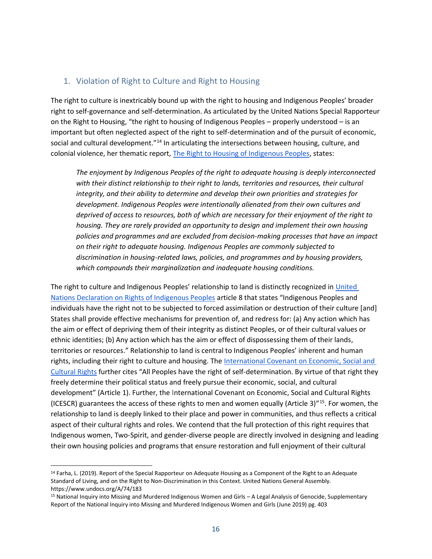#### <span id="page-15-0"></span>1. Violation of Right to Culture and Right to Housing

The right to culture is inextricably bound up with the right to housing and Indigenous Peoples' broader right to self-governance and self-determination. As articulated by the United Nations Special Rapporteur on the Right to Housing, "the right to housing of Indigenous Peoples – properly understood – is an important but often neglected aspect of the right to self-determination and of the pursuit of economic, social and cultural development."<sup>14</sup> In articulating the intersections between housing, culture, and colonial violence, her thematic report, [The Right to Housing of Indigenous Peoples,](http://www.unhousingrapp.org/user/pages/04.resources/A_74_183_E-2.pdf) states:

*The enjoyment by Indigenous Peoples of the right to adequate housing is deeply interconnected with their distinct relationship to their right to lands, territories and resources, their cultural integrity, and their ability to determine and develop their own priorities and strategies for development. Indigenous Peoples were intentionally alienated from their own cultures and deprived of access to resources, both of which are necessary for their enjoyment of the right to housing. They are rarely provided an opportunity to design and implement their own housing policies and programmes and are excluded from decision-making processes that have an impact on their right to adequate housing. Indigenous Peoples are commonly subjected to discrimination in housing-related laws, policies, and programmes and by housing providers, which compounds their marginalization and inadequate housing conditions.*

The right to culture and Indigenous Peoples' relationship to land is distinctly recognized in United [Nations Declaration on Rights of Indigenous Peoples](https://www.un.org/development/desa/indigenouspeoples/wp-content/uploads/sites/19/2018/11/UNDRIP_E_web.pdf) article 8 that states "Indigenous Peoples and individuals have the right not to be subjected to forced assimilation or destruction of their culture [and] States shall provide effective mechanisms for prevention of, and redress for: (a) Any action which has the aim or effect of depriving them of their integrity as distinct Peoples, or of their cultural values or ethnic identities; (b) Any action which has the aim or effect of dispossessing them of their lands, territories or resources." Relationship to land is central to Indigenous Peoples' inherent and human rights, including their right to culture and housing. The [International Covenant on Economic, Social and](https://www.ohchr.org/en/instruments-mechanisms/instruments/international-covenant-economic-social-and-cultural-rights)  [Cultural Rights](https://www.ohchr.org/en/instruments-mechanisms/instruments/international-covenant-economic-social-and-cultural-rights) further cites "All Peoples have the right of self-determination. By virtue of that right they freely determine their political status and freely pursue their economic, social, and cultural development" (Article 1). Further, the International Covenant on Economic, Social and Cultural Rights (ICESCR) guarantees the access of these rights to men and women equally (Article 3)"<sup>15</sup>. For women, the relationship to land is deeply linked to their place and power in communities, and thus reflects a critical aspect of their cultural rights and roles. We contend that the full protection of this right requires that Indigenous women, Two-Spirit, and gender-diverse people are directly involved in designing and leading their own housing policies and programs that ensure restoration and full enjoyment of their cultural

<sup>&</sup>lt;sup>14</sup> Farha, L. (2019). Report of the Special Rapporteur on Adequate Housing as a Component of the Right to an Adequate Standard of Living, and on the Right to Non-Discrimination in this Context. United Nations General Assembly. https://www.undocs.org/A/74/183

<sup>15</sup> National Inquiry into Missing and Murdered Indigenous Women and Girls – A Legal Analysis of Genocide, Supplementary Report of the National Inquiry into Missing and Murdered Indigenous Women and Girls (June 2019) pg. 403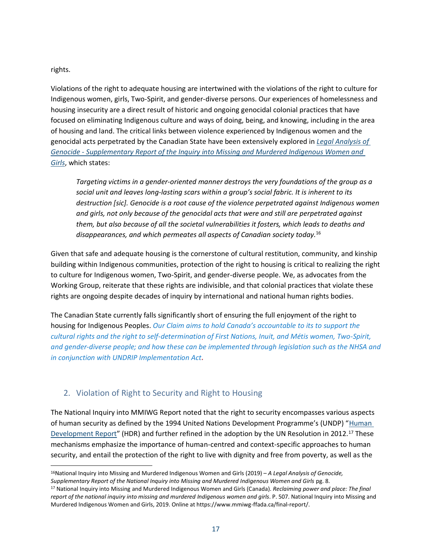rights.

Violations of the right to adequate housing are intertwined with the violations of the right to culture for Indigenous women, girls, Two-Spirit, and gender-diverse persons. Our experiences of homelessness and housing insecurity are a direct result of historic and ongoing genocidal colonial practices that have focused on eliminating Indigenous culture and ways of doing, being, and knowing, including in the area of housing and land. The critical links between violence experienced by Indigenous women and the genocidal acts perpetrated by the Canadian State have been extensively explored in *[Legal Analysis of](https://www.mmiwg-ffada.ca/wp-content/uploads/2019/06/Supplementary-Report_Genocide.pdf)  Genocide - [Supplementary Report of the Inquiry into Missing and Murdered Indigenous Women and](https://www.mmiwg-ffada.ca/wp-content/uploads/2019/06/Supplementary-Report_Genocide.pdf)  [Girls](https://www.mmiwg-ffada.ca/wp-content/uploads/2019/06/Supplementary-Report_Genocide.pdf)*, which states:

*Targeting victims in a gender-oriented manner destroys the very foundations of the group as a social unit and leaves long-lasting scars within a group's social fabric. It is inherent to its destruction [sic]. Genocide is a root cause of the violence perpetrated against Indigenous women and girls, not only because of the genocidal acts that were and still are perpetrated against them, but also because of all the societal vulnerabilities it fosters, which leads to deaths and disappearances, and which permeates all aspects of Canadian society today.*<sup>16</sup>

Given that safe and adequate housing is the cornerstone of cultural restitution, community, and kinship building within Indigenous communities, protection of the right to housing is critical to realizing the right to culture for Indigenous women, Two-Spirit, and gender-diverse people. We, as advocates from the Working Group, reiterate that these rights are indivisible, and that colonial practices that violate these rights are ongoing despite decades of inquiry by international and national human rights bodies.

The Canadian State currently falls significantly short of ensuring the full enjoyment of the right to housing for Indigenous Peoples. *Our Claim aims to hold Canada's accountable to its to support the cultural rights and the right to self-determination of First Nations, Inuit, and Métis women, Two-Spirit, and gender-diverse people; and how these can be implemented through legislation such as the NHSA and in conjunction with UNDRIP Implementation Act.*

#### <span id="page-16-0"></span>2. Violation of Right to Security and Right to Housing

The National Inquiry into MMIWG Report noted that the right to security encompasses various aspects of human security as defined by the 1994 United Nations Development Programme's (UNDP) "[Human](https://hdr.undp.org/sites/default/files/reports/255/hdr_1994_en_complete_nostats.pdf)  [Development Report](https://hdr.undp.org/sites/default/files/reports/255/hdr_1994_en_complete_nostats.pdf)" (HDR) and further refined in the adoption by the UN Resolution in 2012.<sup>17</sup> These mechanisms emphasize the importance of human-centred and context-specific approaches to human security, and entail the protection of the right to live with dignity and free from poverty, as well as the

<sup>16</sup>National Inquiry into Missing and Murdered Indigenous Women and Girls (2019) – *A Legal Analysis of Genocide, Supplementary Report of the National Inquiry into Missing and Murdered Indigenous Women and Girls* pg. 8.

<sup>17</sup> National Inquiry into Missing and Murdered Indigenous Women and Girls (Canada). *Reclaiming power and place: The final report of the national inquiry into missing and murdered Indigenous women and girls*. P. 507. National Inquiry into Missing and Murdered Indigenous Women and Girls, 2019. Online at https://www.mmiwg-ffada.ca/final-report/.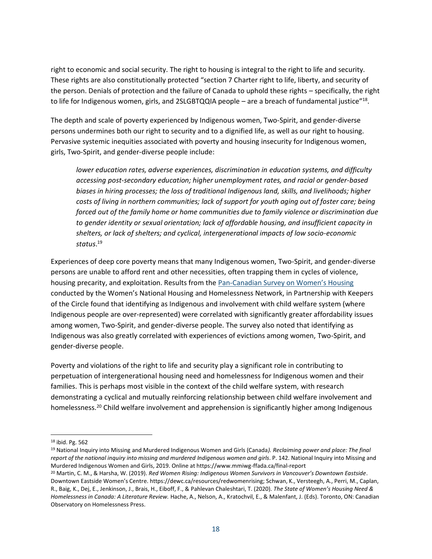right to economic and social security. The right to housing is integral to the right to life and security. These rights are also constitutionally protected "section 7 Charter right to life, liberty, and security of the person. Denials of protection and the failure of Canada to uphold these rights – specifically, the right to life for Indigenous women, girls, and 2SLGBTQQIA people – are a breach of fundamental justice"<sup>18</sup>.

The depth and scale of poverty experienced by Indigenous women, Two-Spirit, and gender-diverse persons undermines both our right to security and to a dignified life, as well as our right to housing. Pervasive systemic inequities associated with poverty and housing insecurity for Indigenous women, girls, Two-Spirit, and gender-diverse people include:

*lower education rates, adverse experiences, discrimination in education systems, and difficulty accessing post-secondary education; higher unemployment rates, and racial or gender-based biases in hiring processes; the loss of traditional Indigenous land, skills, and livelihoods; higher costs of living in northern communities; lack of support for youth aging out of foster care; being forced out of the family home or home communities due to family violence or discrimination due to gender identity or sexual orientation; lack of affordable housing, and insufficient capacity in shelters, or lack of shelters; and cyclical, intergenerational impacts of low socio-economic status*. 19

Experiences of deep core poverty means that many Indigenous women, Two-Spirit, and gender-diverse persons are unable to afford rent and other necessities, often trapping them in cycles of violence, housing precarity, and exploitation. Results from the Pan-Canadian [Survey on Women's Housing](https://womenshomelessness.ca/wp-content/uploads/EN-Pan-Canadian-Womens-Housing-Homelessness-Survey-FINAL-28-Sept-2021.pdf) conducted by the Women's National Housing and Homelessness Network, in Partnership with Keepers of the Circle found that identifying as Indigenous and involvement with child welfare system (where Indigenous people are over-represented) were correlated with significantly greater affordability issues among women, Two-Spirit, and gender-diverse people. The survey also noted that identifying as Indigenous was also greatly correlated with experiences of evictions among women, Two-Spirit, and gender-diverse people.

Poverty and violations of the right to life and security play a significant role in contributing to perpetuation of intergenerational housing need and homelessness for Indigenous women and their families. This is perhaps most visible in the context of the child welfare system, with research demonstrating a cyclical and mutually reinforcing relationship between child welfare involvement and homelessness.<sup>20</sup> Child welfare involvement and apprehension is significantly higher among Indigenous

<sup>19</sup> National Inquiry into Missing and Murdered Indigenous Women and Girls (Canada*). Reclaiming power and place: The final report of the national inquiry into missing and murdered Indigenous women and girls*. P. 142. National Inquiry into Missing and Murdered Indigenous Women and Girls, 2019. Online at https://www.mmiwg-ffada.ca/final-report

<sup>18</sup> ibid. Pg. 562

<sup>20</sup> Martin, C. M., & Harsha, W. (2019). *Red Women Rising: Indigenous Women Survivors in Vancouver's Downtown Eastside*. Downtown Eastside Women's Centre. https://dewc.ca/resources/redwomenrising; Schwan, K., Versteegh, A., Perri, M., Caplan, R., Baig, K., Dej, E., Jenkinson, J., Brais, H., Eiboff, F., & Pahlevan Chaleshtari, T. (2020). *The State of Women's Housing Need & Homelessness in Canada: A Literature Review.* Hache, A., Nelson, A., Kratochvil, E., & Malenfant, J. (Eds). Toronto, ON: Canadian Observatory on Homelessness Press.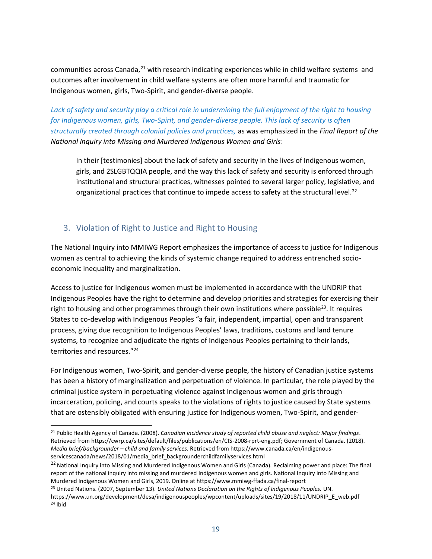communities across Canada,<sup>21</sup> with research indicating experiences while in child welfare systems and outcomes after involvement in child welfare systems are often more harmful and traumatic for Indigenous women, girls, Two-Spirit, and gender-diverse people.

*Lack of safety and security play a critical role in undermining the full enjoyment of the right to housing for Indigenous women, girls, Two-Spirit, and gender-diverse people. This lack of security is often structurally created through colonial policies and practices,* as was emphasized in the *Final Report of the National Inquiry into Missing and Murdered Indigenous Women and Girls*:

In their [testimonies] about the lack of safety and security in the lives of Indigenous women, girls, and 2SLGBTQQIA people, and the way this lack of safety and security is enforced through institutional and structural practices, witnesses pointed to several larger policy, legislative, and organizational practices that continue to impede access to safety at the structural level. $^{22}$ 

#### <span id="page-18-0"></span>3. Violation of Right to Justice and Right to Housing

The National Inquiry into MMIWG Report emphasizes the importance of access to justice for Indigenous women as central to achieving the kinds of systemic change required to address entrenched socioeconomic inequality and marginalization.

Access to justice for Indigenous women must be implemented in accordance with the UNDRIP that Indigenous Peoples have the right to determine and develop priorities and strategies for exercising their right to housing and other programmes through their own institutions where possible<sup>23</sup>. It requires States to co-develop with Indigenous Peoples "a fair, independent, impartial, open and transparent process, giving due recognition to Indigenous Peoples' laws, traditions, customs and land tenure systems, to recognize and adjudicate the rights of Indigenous Peoples pertaining to their lands, territories and resources."<sup>24</sup>

For Indigenous women, Two-Spirit, and gender-diverse people, the history of Canadian justice systems has been a history of marginalization and perpetuation of violence. In particular, the role played by the criminal justice system in perpetuating violence against Indigenous women and girls through incarceration, policing, and courts speaks to the violations of rights to justice caused by State systems that are ostensibly obligated with ensuring justice for Indigenous women, Two-Spirit, and gender-

<sup>21</sup> Public Health Agency of Canada. (2008). *Canadian incidence study of reported child abuse and neglect: Major findings*. Retrieved from https://cwrp.ca/sites/default/files/publications/en/CIS-2008-rprt-eng.pdf; Government of Canada. (2018). *Media brief/backgrounder – child and family services.* Retrieved from https://www.canada.ca/en/indigenousservicescanada/news/2018/01/media\_brief\_backgrounderchildfamilyservices.html

<sup>&</sup>lt;sup>22</sup> National Inquiry into Missing and Murdered Indigenous Women and Girls (Canada). Reclaiming power and place: The final report of the national inquiry into missing and murdered Indigenous women and girls. National Inquiry into Missing and Murdered Indigenous Women and Girls, 2019. Online at https://www.mmiwg-ffada.ca/final-report

<sup>23</sup> United Nations. (2007, September 13). *United Nations Declaration on the Rights of Indigenous Peoples.* UN.

https://www.un.org/development/desa/indigenouspeoples/wpcontent/uploads/sites/19/2018/11/UNDRIP\_E\_web.pdf <sup>24</sup> Ibid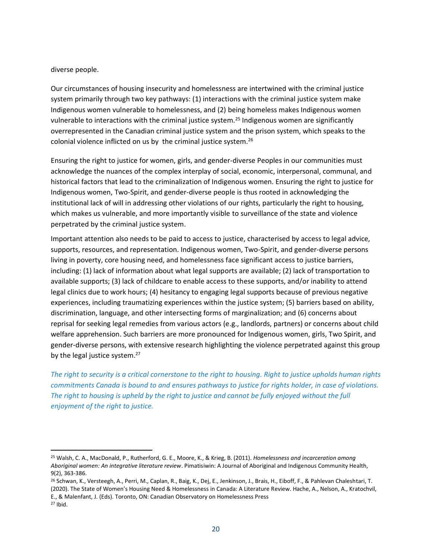diverse people.

Our circumstances of housing insecurity and homelessness are intertwined with the criminal justice system primarily through two key pathways: (1) interactions with the criminal justice system make Indigenous women vulnerable to homelessness, and (2) being homeless makes Indigenous women vulnerable to interactions with the criminal justice system.<sup>25</sup> Indigenous women are significantly overrepresented in the Canadian criminal justice system and the prison system, which speaks to the colonial violence inflicted on us by the criminal justice system.<sup>26</sup>

Ensuring the right to justice for women, girls, and gender-diverse Peoples in our communities must acknowledge the nuances of the complex interplay of social, economic, interpersonal, communal, and historical factors that lead to the criminalization of Indigenous women. Ensuring the right to justice for Indigenous women, Two-Spirit, and gender-diverse people is thus rooted in acknowledging the institutional lack of will in addressing other violations of our rights, particularly the right to housing, which makes us vulnerable, and more importantly visible to surveillance of the state and violence perpetrated by the criminal justice system.

Important attention also needs to be paid to access to justice, characterised by access to legal advice, supports, resources, and representation. Indigenous women, Two-Spirit, and gender-diverse persons living in poverty, core housing need, and homelessness face significant access to justice barriers, including: (1) lack of information about what legal supports are available; (2) lack of transportation to available supports; (3) lack of childcare to enable access to these supports, and/or inability to attend legal clinics due to work hours; (4) hesitancy to engaging legal supports because of previous negative experiences, including traumatizing experiences within the justice system; (5) barriers based on ability, discrimination, language, and other intersecting forms of marginalization; and (6) concerns about reprisal for seeking legal remedies from various actors (e.g., landlords, partners) or concerns about child welfare apprehension. Such barriers are more pronounced for Indigenous women, girls, Two Spirit, and gender-diverse persons, with extensive research highlighting the violence perpetrated against this group by the legal justice system.<sup>27</sup>

*The right to security is a critical cornerstone to the right to housing. Right to justice upholds human rights commitments Canada is bound to and ensures pathways to justice for rights holder, in case of violations. The right to housing is upheld by the right to justice and cannot be fully enjoyed without the full enjoyment of the right to justice.* 

<sup>25</sup> Walsh, C. A., MacDonald, P., Rutherford, G. E., Moore, K., & Krieg, B. (2011). *Homelessness and incarceration among Aboriginal women: An integrative literature review*. Pimatisiwin: A Journal of Aboriginal and Indigenous Community Health, 9(2), 363-386.

<sup>&</sup>lt;sup>26</sup> Schwan, K., Versteegh, A., Perri, M., Caplan, R., Baig, K., Dej, E., Jenkinson, J., Brais, H., Eiboff, F., & Pahlevan Chaleshtari, T. (2020). The State of Women's Housing Need & Homelessness in Canada: A Literature Review. Hache, A., Nelson, A., Kratochvil, E., & Malenfant, J. (Eds). Toronto, ON: Canadian Observatory on Homelessness Press

<sup>27</sup> Ibid.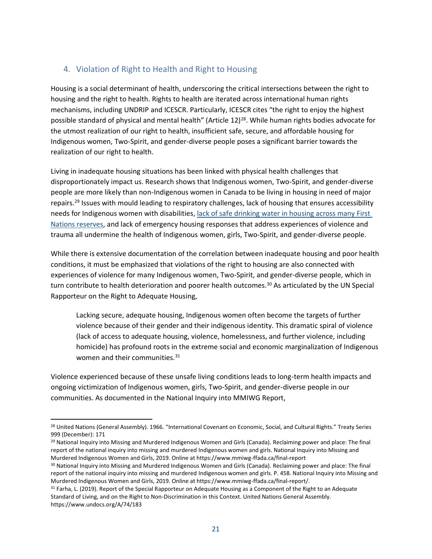#### <span id="page-20-0"></span>4. Violation of Right to Health and Right to Housing

Housing is a social determinant of health, underscoring the critical intersections between the right to housing and the right to health. Rights to health are iterated across international human rights mechanisms, including UNDRIP and ICESCR. Particularly, ICESCR cites "the right to enjoy the highest possible standard of physical and mental health" (Article 12)<sup>28</sup>. While human rights bodies advocate for the utmost realization of our right to health, insufficient safe, secure, and affordable housing for Indigenous women, Two-Spirit, and gender-diverse people poses a significant barrier towards the realization of our right to health.

Living in inadequate housing situations has been linked with physical health challenges that disproportionately impact us. Research shows that Indigenous women, Two-Spirit, and gender-diverse people are more likely than non-Indigenous women in Canada to be living in housing in need of major repairs.<sup>29</sup> Issues with mould leading to respiratory challenges, lack of housing that ensures accessibility needs for Indigenous women with disabilities, [lack of safe drinking water in housing across many First](https://firstnationsdrinkingwater.ca/wp-content/uploads/2022/01/Summary-and-Explanation-English.pdf)  [Nations reserves,](https://firstnationsdrinkingwater.ca/wp-content/uploads/2022/01/Summary-and-Explanation-English.pdf) and lack of emergency housing responses that address experiences of violence and trauma all undermine the health of Indigenous women, girls, Two-Spirit, and gender-diverse people.

While there is extensive documentation of the correlation between inadequate housing and poor health conditions, it must be emphasized that violations of the right to housing are also connected with experiences of violence for many Indigenous women, Two-Spirit, and gender-diverse people, which in turn contribute to health deterioration and poorer health outcomes.<sup>30</sup> As articulated by the UN Special Rapporteur on the Right to Adequate Housing,

Lacking secure, adequate housing, Indigenous women often become the targets of further violence because of their gender and their indigenous identity. This dramatic spiral of violence (lack of access to adequate housing, violence, homelessness, and further violence, including homicide) has profound roots in the extreme social and economic marginalization of Indigenous women and their communities.<sup>31</sup>

Violence experienced because of these unsafe living conditions leads to long-term health impacts and ongoing victimization of Indigenous women, girls, Two-Spirit, and gender-diverse people in our communities. As documented in the National Inquiry into MMIWG Report,

<sup>&</sup>lt;sup>28</sup> United Nations (General Assembly). 1966. "International Covenant on Economic, Social, and Cultural Rights." Treaty Series 999 (December): 171

<sup>&</sup>lt;sup>29</sup> National Inquiry into Missing and Murdered Indigenous Women and Girls (Canada). Reclaiming power and place: The final report of the national inquiry into missing and murdered Indigenous women and girls. National Inquiry into Missing and Murdered Indigenous Women and Girls, 2019. Online at https://www.mmiwg-ffada.ca/final-report

<sup>30</sup> National Inquiry into Missing and Murdered Indigenous Women and Girls (Canada). Reclaiming power and place: The final report of the national inquiry into missing and murdered Indigenous women and girls. P. 458. National Inquiry into Missing and Murdered Indigenous Women and Girls, 2019. Online at https://www.mmiwg-ffada.ca/final-report/.

<sup>31</sup> Farha, L. (2019). Report of the Special Rapporteur on Adequate Housing as a Component of the Right to an Adequate Standard of Living, and on the Right to Non-Discrimination in this Context. United Nations General Assembly. https://www.undocs.org/A/74/183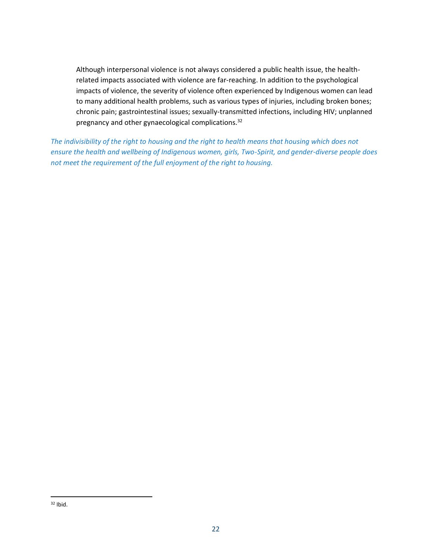Although interpersonal violence is not always considered a public health issue, the healthrelated impacts associated with violence are far-reaching. In addition to the psychological impacts of violence, the severity of violence often experienced by Indigenous women can lead to many additional health problems, such as various types of injuries, including broken bones; chronic pain; gastrointestinal issues; sexually-transmitted infections, including HIV; unplanned pregnancy and other gynaecological complications.<sup>32</sup>

*The indivisibility of the right to housing and the right to health means that housing which does not ensure the health and wellbeing of Indigenous women, girls, Two-Spirit, and gender-diverse people does not meet the requirement of the full enjoyment of the right to housing.*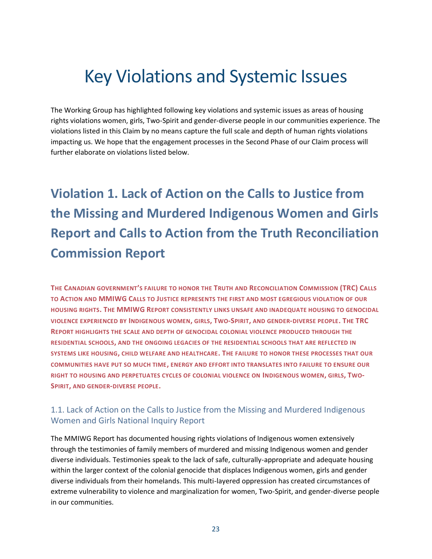# Key Violations and Systemic Issues

The Working Group has highlighted following key violations and systemic issues as areas of housing rights violations women, girls, Two-Spirit and gender-diverse people in our communities experience. The violations listed in this Claim by no means capture the full scale and depth of human rights violations impacting us. We hope that the engagement processes in the Second Phase of our Claim process will further elaborate on violations listed below.

## <span id="page-22-0"></span>**Violation 1. Lack of Action on the Calls to Justice from the Missing and Murdered Indigenous Women and Girls Report and Calls to Action from the Truth Reconciliation Commission Report**

**THE CANADIAN GOVERNMENT'S FAILURE TO HONOR THE TRUTH AND RECONCILIATION COMMISSION (TRC) CALLS TO ACTION AND MMIWG CALLS TO JUSTICE REPRESENTS THE FIRST AND MOST EGREGIOUS VIOLATION OF OUR HOUSING RIGHTS. THE MMIWG REPORT CONSISTENTLY LINKS UNSAFE AND INADEQUATE HOUSING TO GENOCIDAL VIOLENCE EXPERIENCED BY INDIGENOUS WOMEN, GIRLS, TWO-SPIRIT, AND GENDER-DIVERSE PEOPLE. THE TRC REPORT HIGHLIGHTS THE SCALE AND DEPTH OF GENOCIDAL COLONIAL VIOLENCE PRODUCED THROUGH THE RESIDENTIAL SCHOOLS, AND THE ONGOING LEGACIES OF THE RESIDENTIAL SCHOOLS THAT ARE REFLECTED IN SYSTEMS LIKE HOUSING, CHILD WELFARE AND HEALTHCARE. THE FAILURE TO HONOR THESE PROCESSES THAT OUR COMMUNITIES HAVE PUT SO MUCH TIME, ENERGY AND EFFORT INTO TRANSLATES INTO FAILURE TO ENSURE OUR RIGHT TO HOUSING AND PERPETUATES CYCLES OF COLONIAL VIOLENCE ON INDIGENOUS WOMEN, GIRLS, TWO-SPIRIT, AND GENDER-DIVERSE PEOPLE.**

#### <span id="page-22-1"></span>1.1. Lack of Action on the Calls to Justice from the Missing and Murdered Indigenous Women and Girls National Inquiry Report

The MMIWG Report has documented housing rights violations of Indigenous women extensively through the testimonies of family members of murdered and missing Indigenous women and gender diverse individuals. Testimonies speak to the lack of safe, culturally-appropriate and adequate housing within the larger context of the colonial genocide that displaces Indigenous women, girls and gender diverse individuals from their homelands. This multi-layered oppression has created circumstances of extreme vulnerability to violence and marginalization for women, Two-Spirit, and gender-diverse people in our communities.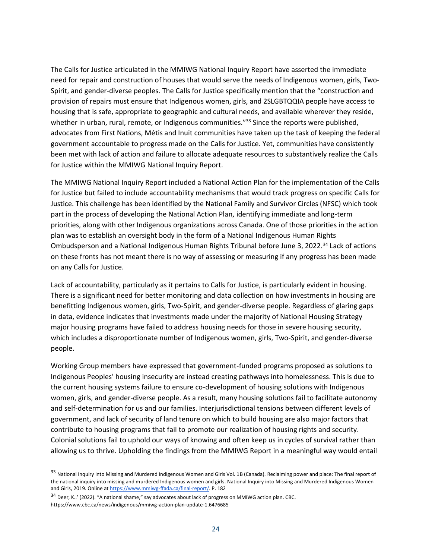The Calls for Justice articulated in the MMIWG National Inquiry Report have asserted the immediate need for repair and construction of houses that would serve the needs of Indigenous women, girls, Two-Spirit, and gender-diverse peoples. The Calls for Justice specifically mention that the "construction and provision of repairs must ensure that Indigenous women, girls, and 2SLGBTQQIA people have access to housing that is safe, appropriate to geographic and cultural needs, and available wherever they reside, whether in urban, rural, remote, or Indigenous communities."<sup>33</sup> Since the reports were published, advocates from First Nations, Métis and Inuit communities have taken up the task of keeping the federal government accountable to progress made on the Calls for Justice. Yet, communities have consistently been met with lack of action and failure to allocate adequate resources to substantively realize the Calls for Justice within the MMIWG National Inquiry Report.

The MMIWG National Inquiry Report included a National Action Plan for the implementation of the Calls for Justice but failed to include accountability mechanisms that would track progress on specific Calls for Justice. This challenge has been identified by the National Family and Survivor Circles (NFSC) which took part in the process of developing the National Action Plan, identifying immediate and long-term priorities, along with other Indigenous organizations across Canada. One of those priorities in the action plan was to establish an oversight body in the form of a National Indigenous Human Rights Ombudsperson and a National Indigenous Human Rights Tribunal before June 3, 2022.<sup>34</sup> Lack of actions on these fronts has not meant there is no way of assessing or measuring if any progress has been made on any Calls for Justice.

Lack of accountability, particularly as it pertains to Calls for Justice, is particularly evident in housing. There is a significant need for better monitoring and data collection on how investments in housing are benefitting Indigenous women, girls, Two-Spirit, and gender-diverse people. Regardless of glaring gaps in data, evidence indicates that investments made under the majority of National Housing Strategy major housing programs have failed to address housing needs for those in severe housing security, which includes a disproportionate number of Indigenous women, girls, Two-Spirit, and gender-diverse people.

Working Group members have expressed that government-funded programs proposed as solutions to Indigenous Peoples' housing insecurity are instead creating pathways into homelessness. This is due to the current housing systems failure to ensure co-development of housing solutions with Indigenous women, girls, and gender-diverse people. As a result, many housing solutions fail to facilitate autonomy and self-determination for us and our families. Interjurisdictional tensions between different levels of government, and lack of security of land tenure on which to build housing are also major factors that contribute to housing programs that fail to promote our realization of housing rights and security. Colonial solutions fail to uphold our ways of knowing and often keep us in cycles of survival rather than allowing us to thrive. Upholding the findings from the MMIWG Report in a meaningful way would entail

<sup>33</sup> National Inquiry into Missing and Murdered Indigenous Women and Girls Vol. 1B (Canada). Reclaiming power and place: The final report of the national inquiry into missing and murdered Indigenous women and girls. National Inquiry into Missing and Murdered Indigenous Women and Girls, 2019. Online at [https://www.mmiwg-ffada.ca/final-report/.](https://www.mmiwg-ffada.ca/final-report/) P. 182

<sup>34</sup> Deer, K..' (2022). "A national shame," say advocates about lack of progress on MMIWG action plan. CBC. https://www.cbc.ca/news/indigenous/mmiwg-action-plan-update-1.6476685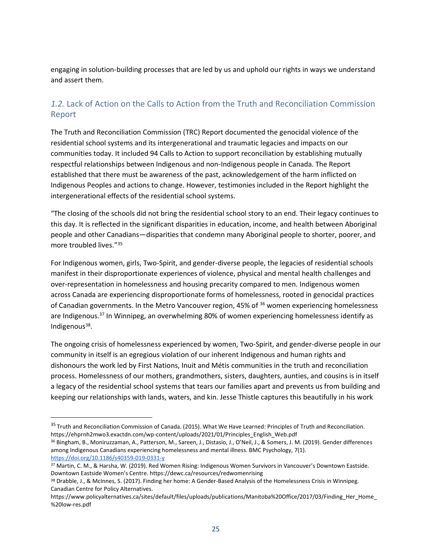engaging in solution-building processes that are led by us and uphold our rights in ways we understand and assert them.

#### <span id="page-24-0"></span>*1.2.* Lack of Action on the Calls to Action from the Truth and Reconciliation Commission Report

The Truth and Reconciliation Commission (TRC) Report documented the genocidal violence of the residential school systems and its intergenerational and traumatic legacies and impacts on our communities today. It included 94 Calls to Action to support reconciliation by establishing mutually respectful relationships between Indigenous and non-Indigenous people in Canada. The Report established that there must be awareness of the past, acknowledgement of the harm inflicted on Indigenous Peoples and actions to change. However, testimonies included in the Report highlight the intergenerational effects of the residential school systems.

"The closing of the schools did not bring the residential school story to an end. Their legacy continues to this day. It is reflected in the significant disparities in education, income, and health between Aboriginal people and other Canadians—disparities that condemn many Aboriginal people to shorter, poorer, and more troubled lives."<sup>35</sup>

For Indigenous women, girls, Two-Spirit, and gender-diverse people, the legacies of residential schools manifest in their disproportionate experiences of violence, physical and mental health challenges and over-representation in homelessness and housing precarity compared to men. Indigenous women across Canada are experiencing disproportionate forms of homelessness, rooted in genocidal practices of Canadian governments. In the Metro Vancouver region, 45% of <sup>36</sup> women experiencing homelessness are Indigenous.<sup>37</sup> In Winnipeg, an overwhelming 80% of women experiencing homelessness identify as Indigenous<sup>38</sup>.

The ongoing crisis of homelessness experienced by women, Two-Spirit, and gender-diverse people in our community in itself is an egregious violation of our inherent Indigenous and human rights and dishonours the work led by First Nations, Inuit and Métis communities in the truth and reconciliation process. Homelessness of our mothers, grandmothers, sisters, daughters, aunties, and cousins is in itself a legacy of the residential school systems that tears our families apart and prevents us from building and keeping our relationships with lands, waters, and kin. Jesse Thistle captures this beautifully in his work

<sup>&</sup>lt;sup>35</sup> Truth and Reconciliation Commission of Canada. (2015). What We Have Learned: Principles of Truth and Reconciliation. https://ehprnh2mwo3.exactdn.com/wp-content/uploads/2021/01/Principles\_English\_Web.pdf

<sup>36</sup> Bingham, B., Moniruzzaman, A., Patterson, M., Sareen, J., Distasio, J., O'Neil, J., & Somers, J. M. (2019). Gender differences among Indigenous Canadians experiencing homelessness and mental illness. BMC Psychology, 7(1). <https://doi.org/10.1186/s40359-019-0331-y>

<sup>37</sup> Martin, C. M., & Harsha, W. (2019). Red Women Rising: Indigenous Women Survivors in Vancouver's Downtown Eastside. Downtown Eastside Women's Centre. https://dewc.ca/resources/redwomenrising

<sup>38</sup> Drabble, J., & McInnes, S. (2017). Finding her home: A Gender-Based Analysis of the Homelessness Crisis in Winnipeg. Canadian Centre for Policy Alternatives.

https://www.policyalternatives.ca/sites/default/files/uploads/publications/Manitoba%20Office/2017/03/Finding\_Her\_Home %20low-res.pdf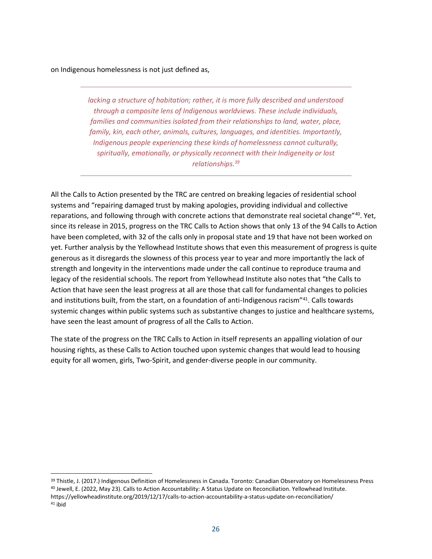on Indigenous homelessness is not just defined as,

*lacking a structure of habitation; rather, it is more fully described and understood through a composite lens of Indigenous worldviews. These include individuals, families and communities isolated from their relationships to land, water, place, family, kin, each other, animals, cultures, languages, and identities. Importantly, Indigenous people experiencing these kinds of homelessness cannot culturally, spiritually, emotionally, or physically reconnect with their Indigeneity or lost relationships. 39*

All the Calls to Action presented by the TRC are centred on breaking legacies of residential school systems and "repairing damaged trust by making apologies, providing individual and collective reparations, and following through with concrete actions that demonstrate real societal change"<sup>40</sup>. Yet, since its release in 2015, progress on the TRC Calls to Action shows that only 13 of the 94 Calls to Action have been completed, with 32 of the calls only in proposal state and 19 that have not been worked on yet. Further analysis by the Yellowhead Institute shows that even this measurement of progress is quite generous as it disregards the slowness of this process year to year and more importantly the lack of strength and longevity in the interventions made under the call continue to reproduce trauma and legacy of the residential schools. The report from Yellowhead Institute also notes that "the Calls to Action that have seen the least progress at all are those that call for fundamental changes to policies and institutions built, from the start, on a foundation of anti-Indigenous racism"<sup>41</sup>. Calls towards systemic changes within public systems such as substantive changes to justice and healthcare systems, have seen the least amount of progress of all the Calls to Action.

The state of the progress on the TRC Calls to Action in itself represents an appalling violation of our housing rights, as these Calls to Action touched upon systemic changes that would lead to housing equity for all women, girls, Two-Spirit, and gender-diverse people in our community.

<sup>39</sup> Thistle, J. (2017.) Indigenous Definition of Homelessness in Canada. Toronto: Canadian Observatory on Homelessness Press <sup>40</sup> Jewell, E. (2022, May 23). Calls to Action Accountability: A Status Update on Reconciliation. Yellowhead Institute. https://yellowheadinstitute.org/2019/12/17/calls-to-action-accountability-a-status-update-on-reconciliation/ <sup>41</sup> ibid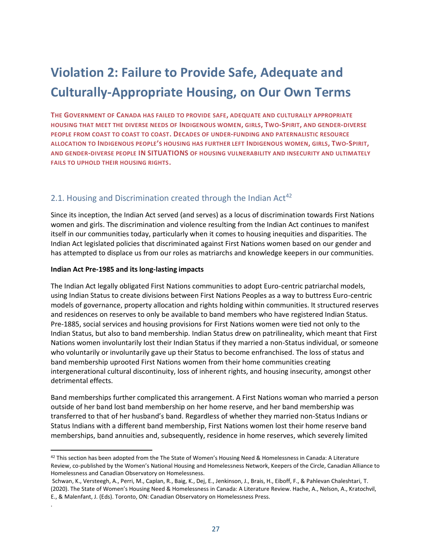### <span id="page-26-0"></span>**Violation 2: Failure to Provide Safe, Adequate and Culturally-Appropriate Housing, on Our Own Terms**

**THE GOVERNMENT OF CANADA HAS FAILED TO PROVIDE SAFE, ADEQUATE AND CULTURALLY APPROPRIATE HOUSING THAT MEET THE DIVERSE NEEDS OF INDIGENOUS WOMEN, GIRLS, TWO-SPIRIT, AND GENDER-DIVERSE PEOPLE FROM COAST TO COAST TO COAST. DECADES OF UNDER-FUNDING AND PATERNALISTIC RESOURCE ALLOCATION TO INDIGENOUS PEOPLE'S HOUSING HAS FURTHER LEFT INDIGENOUS WOMEN, GIRLS, TWO-SPIRIT, AND GENDER-DIVERSE PEOPLE IN SITUATIONS OF HOUSING VULNERABILITY AND INSECURITY AND ULTIMATELY FAILS TO UPHOLD THEIR HOUSING RIGHTS.**

#### <span id="page-26-1"></span>2.1. Housing and Discrimination created through the Indian Act<sup>42</sup>

Since its inception, the Indian Act served (and serves) as a locus of discrimination towards First Nations women and girls. The discrimination and violence resulting from the Indian Act continues to manifest itself in our communities today, particularly when it comes to housing inequities and disparities. The Indian Act legislated policies that discriminated against First Nations women based on our gender and has attempted to displace us from our roles as matriarchs and knowledge keepers in our communities.

#### **Indian Act Pre-1985 and its long-lasting impacts**

.

The Indian Act legally obligated First Nations communities to adopt Euro-centric patriarchal models, using Indian Status to create divisions between First Nations Peoples as a way to buttress Euro-centric models of governance, property allocation and rights holding within communities. It structured reserves and residences on reserves to only be available to band members who have registered Indian Status. Pre-1885, social services and housing provisions for First Nations women were tied not only to the Indian Status, but also to band membership. Indian Status drew on patrilineality, which meant that First Nations women involuntarily lost their Indian Status if they married a non-Status individual, or someone who voluntarily or involuntarily gave up their Status to become enfranchised. The loss of status and band membership uprooted First Nations women from their home communities creating intergenerational cultural discontinuity, loss of inherent rights, and housing insecurity, amongst other detrimental effects.

Band memberships further complicated this arrangement. A First Nations woman who married a person outside of her band lost band membership on her home reserve, and her band membership was transferred to that of her husband's band. Regardless of whether they married non-Status Indians or Status Indians with a different band membership, First Nations women lost their home reserve band memberships, band annuities and, subsequently, residence in home reserves, which severely limited

 $42$  This section has been adopted from the The State of Women's Housing Need & Homelessness in Canada: A Literature Review, co-published by the Women's National Housing and Homelessness Network, Keepers of the Circle, Canadian Alliance to Homelessness and Canadian Observatory on Homelessness.

Schwan, K., Versteegh, A., Perri, M., Caplan, R., Baig, K., Dej, E., Jenkinson, J., Brais, H., Eiboff, F., & Pahlevan Chaleshtari, T. (2020). The State of Women's Housing Need & Homelessness in Canada: A Literature Review. Hache, A., Nelson, A., Kratochvil, E., & Malenfant, J. (Eds). Toronto, ON: Canadian Observatory on Homelessness Press.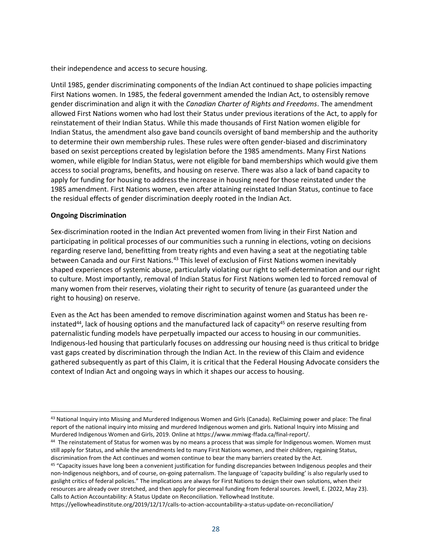their independence and access to secure housing.

Until 1985, gender discriminating components of the Indian Act continued to shape policies impacting First Nations women. In 1985, the federal government amended the Indian Act, to ostensibly remove gender discrimination and align it with the *Canadian Charter of Rights and Freedoms*. The amendment allowed First Nations women who had lost their Status under previous iterations of the Act, to apply for reinstatement of their Indian Status. While this made thousands of First Nation women eligible for Indian Status, the amendment also gave band councils oversight of band membership and the authority to determine their own membership rules. These rules were often gender-biased and discriminatory based on sexist perceptions created by legislation before the 1985 amendments. Many First Nations women, while eligible for Indian Status, were not eligible for band memberships which would give them access to social programs, benefits, and housing on reserve. There was also a lack of band capacity to apply for funding for housing to address the increase in housing need for those reinstated under the 1985 amendment. First Nations women, even after attaining reinstated Indian Status, continue to face the residual effects of gender discrimination deeply rooted in the Indian Act.

#### **Ongoing Discrimination**

Sex-discrimination rooted in the Indian Act prevented women from living in their First Nation and participating in political processes of our communities such a running in elections, voting on decisions regarding reserve land, benefitting from treaty rights and even having a seat at the negotiating table between Canada and our First Nations.<sup>43</sup> This level of exclusion of First Nations women inevitably shaped experiences of systemic abuse, particularly violating our right to self-determination and our right to culture. Most importantly, removal of Indian Status for First Nations women led to forced removal of many women from their reserves, violating their right to security of tenure (as guaranteed under the right to housing) on reserve.

Even as the Act has been amended to remove discrimination against women and Status has been reinstated<sup>44</sup>, lack of housing options and the manufactured lack of capacity<sup>45</sup> on reserve resulting from paternalistic funding models have perpetually impacted our access to housing in our communities. Indigenous-led housing that particularly focuses on addressing our housing need is thus critical to bridge vast gaps created by discrimination through the Indian Act. In the review of this Claim and evidence gathered subsequently as part of this Claim, it is critical that the Federal Housing Advocate considers the context of Indian Act and ongoing ways in which it shapes our access to housing.

<sup>43</sup> National Inquiry into Missing and Murdered Indigenous Women and Girls (Canada). ReClaiming power and place: The final report of the national inquiry into missing and murdered Indigenous women and girls. National Inquiry into Missing and Murdered Indigenous Women and Girls, 2019. Online at https://www.mmiwg-ffada.ca/final-report/.

<sup>44</sup> The reinstatement of Status for women was by no means a process that was simple for Indigenous women. Women must still apply for Status, and while the amendments led to many First Nations women, and their children, regaining Status, discrimination from the Act continues and women continue to bear the many barriers created by the Act.

<sup>45</sup> "Capacity issues have long been a convenient justification for funding discrepancies between Indigenous peoples and their non-Indigenous neighbors, and of course, on-going paternalism. The language of 'capacity building' is also regularly used to gaslight critics of federal policies." The implications are always for First Nations to design their own solutions, when their resources are already over stretched, and then apply for piecemeal funding from federal sources. Jewell, E. (2022, May 23). Calls to Action Accountability: A Status Update on Reconciliation. Yellowhead Institute.

https://yellowheadinstitute.org/2019/12/17/calls-to-action-accountability-a-status-update-on-reconciliation/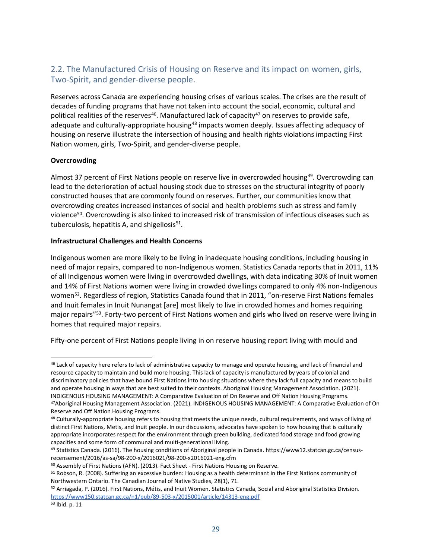#### <span id="page-28-0"></span>2.2. The Manufactured Crisis of Housing on Reserve and its impact on women, girls, Two-Spirit, and gender-diverse people.

Reserves across Canada are experiencing housing crises of various scales. The crises are the result of decades of funding programs that have not taken into account the social, economic, cultural and political realities of the reserves<sup>46</sup>. Manufactured lack of capacity<sup>47</sup> on reserves to provide safe, adequate and culturally-appropriate housing<sup>48</sup> impacts women deeply. Issues affecting adequacy of housing on reserve illustrate the intersection of housing and health rights violations impacting First Nation women, girls, Two-Spirit, and gender-diverse people.

#### **Overcrowding**

Almost 37 percent of First Nations people on reserve live in overcrowded housing<sup>49</sup>. Overcrowding can lead to the deterioration of actual housing stock due to stresses on the structural integrity of poorly constructed houses that are commonly found on reserves. Further, our communities know that overcrowding creates increased instances of social and health problems such as stress and family violence<sup>50</sup>. Overcrowding is also linked to increased risk of transmission of infectious diseases such as tuberculosis, hepatitis A, and shigellosis<sup>51</sup>.

#### **Infrastructural Challenges and Health Concerns**

Indigenous women are more likely to be living in inadequate housing conditions, including housing in need of major repairs, compared to non-Indigenous women. Statistics Canada reports that in 2011, 11% of all Indigenous women were living in overcrowded dwellings, with data indicating 30% of Inuit women and 14% of First Nations women were living in crowded dwellings compared to only 4% non-Indigenous women<sup>52</sup>. Regardless of region, Statistics Canada found that in 2011, "on-reserve First Nations females and Inuit females in Inuit Nunangat [are] most likely to live in crowded homes and homes requiring major repairs"<sup>53</sup>. Forty-two percent of First Nations women and girls who lived on reserve were living in homes that required major repairs.

Fifty-one percent of First Nations people living in on reserve housing report living with mould and

<sup>46</sup> Lack of capacity here refers to lack of administrative capacity to manage and operate housing, and lack of financial and resource capacity to maintain and build more housing. This lack of capacity is manufactured by years of colonial and discriminatory policies that have bound First Nations into housing situations where they lack full capacity and means to build and operate housing in ways that are best suited to their contexts. Aboriginal Housing Management Association. (2021). INDIGENOUS HOUSING MANAGEMENT: A Comparative Evaluation of On Reserve and Off Nation Housing Programs.

<sup>47</sup>Aboriginal Housing Management Association. (2021). INDIGENOUS HOUSING MANAGEMENT: A Comparative Evaluation of On Reserve and Off Nation Housing Programs.

<sup>48</sup> Culturally-appropriate housing refers to housing that meets the unique needs, cultural requirements, and ways of living of distinct First Nations, Metis, and Inuit people. In our discussions, advocates have spoken to how housing that is culturally appropriate incorporates respect for the environment through green building, dedicated food storage and food growing capacities and some form of communal and multi-generational living.

<sup>49</sup> Statistics Canada. (2016). The housing conditions of Aboriginal people in Canada. https://www12.statcan.gc.ca/censusrecensement/2016/as-sa/98-200-x/2016021/98-200-x2016021-eng.cfm

<sup>50</sup> Assembly of First Nations (AFN). (2013). Fact Sheet - First Nations Housing on Reserve.

<sup>51</sup> Robson, R. (2008). Suffering an excessive burden: Housing as a health determinant in the First Nations community of Northwestern Ontario. The Canadian Journal of Native Studies, 28(1), 71.

<sup>52</sup> Arriagada, P. (2016). First Nations, Métis, and Inuit Women. Statistics Canada, Social and Aboriginal Statistics Division. <https://www150.statcan.gc.ca/n1/pub/89-503-x/2015001/article/14313-eng.pdf>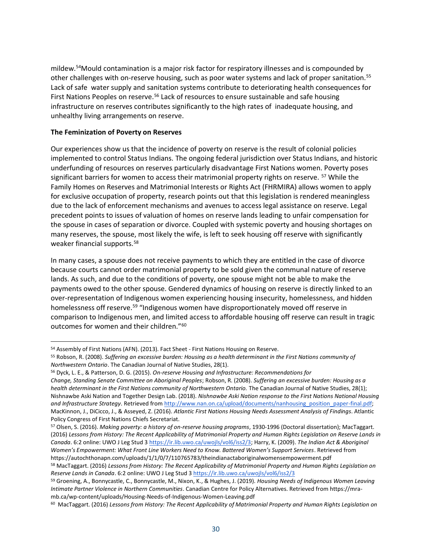mildew.<sup>54</sup>Mould contamination is a major risk factor for respiratory illnesses and is compounded by other challenges with on-reserve housing, such as poor water systems and lack of proper sanitation.<sup>55</sup> Lack of safe water supply and sanitation systems contribute to deteriorating health consequences for First Nations Peoples on reserve.<sup>56</sup> Lack of resources to ensure sustainable and safe housing infrastructure on reserves contributes significantly to the high rates of inadequate housing, and unhealthy living arrangements on reserve.

#### **The Feminization of Poverty on Reserves**

Our experiences show us that the incidence of poverty on reserve is the result of colonial policies implemented to control Status Indians. The ongoing federal jurisdiction over Status Indians, and historic underfunding of resources on reserves particularly disadvantage First Nations women. Poverty poses significant barriers for women to access their matrimonial property rights on reserve. <sup>57</sup> While the Family Homes on Reserves and Matrimonial Interests or Rights Act (FHRMIRA) allows women to apply for exclusive occupation of property, research points out that this legislation is rendered meaningless due to the lack of enforcement mechanisms and avenues to access legal assistance on reserve. Legal precedent points to issues of valuation of homes on reserve lands leading to unfair compensation for the spouse in cases of separation or divorce. Coupled with systemic poverty and housing shortages on many reserves, the spouse, most likely the wife, is left to seek housing off reserve with significantly weaker financial supports.<sup>58</sup>

In many cases, a spouse does not receive payments to which they are entitled in the case of divorce because courts cannot order matrimonial property to be sold given the communal nature of reserve lands. As such, and due to the conditions of poverty, one spouse might not be able to make the payments owed to the other spouse. Gendered dynamics of housing on reserve is directly linked to an over-representation of Indigenous women experiencing housing insecurity, homelessness, and hidden homelessness off reserve.<sup>59</sup> "Indigenous women have disproportionately moved off reserve in comparison to Indigenous men, and limited access to affordable housing off reserve can result in tragic outcomes for women and their children."<sup>60</sup>

<sup>54</sup> Assembly of First Nations (AFN). (2013). Fact Sheet - First Nations Housing on Reserve.

<sup>55</sup> Robson, R. (2008). *Suffering an excessive burden: Housing as a health determinant in the First Nations community of Northwestern Ontario*. The Canadian Journal of Native Studies, 28(1).

<sup>56</sup> Dyck, L. E., & Patterson, D. G. (2015). *On-reserve Housing and Infrastructure: Recommendations for*

*Change, Standing Senate Committee on Aboriginal Peoples*; Robson, R. (2008). *Suffering an excessive burden: Housing as a health determinant in the First Nations community of Northwestern Ontario.* The Canadian Journal of Native Studies, 28(1); Nishnawbe Aski Nation and Together Design Lab. (2018). *Nishnawbe Aski Nation response to the First Nations National Housing and Infrastructure Strategy*. Retrieved fro[m http://www.nan.on.ca/upload/documents/nanhousing\\_position\\_paper-final.pdf;](http://www.nan.on.ca/upload/documents/nanhousing_position_paper-final.pdf) MacKinnon, J., DiCicco, J., & Asseyed, Z. (2016). *Atlantic First Nations Housing Needs Assessment Analysis of Findings*. Atlantic Policy Congress of First Nations Chiefs Secretariat.

<sup>57</sup> Olsen, S. (2016). *Making poverty: a history of on-reserve housing programs*, 1930-1996 (Doctoral dissertation); MacTaggart. (2016) *Lessons from History: The Recent Applicability of Matrimonial Property and Human Rights Legislation on Reserve Lands in Canada*. 6:2 online: UWO J Leg Stud [3 https://ir.lib.uwo.ca/uwojls/vol6/iss2/3;](https://ir.lib.uwo.ca/uwojls/vol6/iss2/3) Harry, K. (2009). *The Indian Act & Aboriginal Women's Empowerment: What Front Line Workers Need to Know. Battered Women's Support Services*. Retrieved from https://autochthonapn.com/uploads/1/1/0/7/110765783/theindianactaboriginalwomensempowerment.pdf

<sup>58</sup> MacTaggart. (2016) *Lessons from History: The Recent Applicability of Matrimonial Property and Human Rights Legislation on Reserve Lands in Canada*. 6:2 online: UWO J Leg Stud [3 https://ir.lib.uwo.ca/uwojls/vol6/iss2/3](https://ir.lib.uwo.ca/uwojls/vol6/iss2/3)

<sup>59</sup> Groening, A., Bonnycastle, C., Bonnycastle, M., Nixon, K., & Hughes, J. (2019). *Housing Needs of Indigenous Women Leaving Intimate Partner Violence in Northern Communities*. Canadian Centre for Policy Alternatives. Retrieved from https://mramb.ca/wp-content/uploads/Housing-Needs-of-Indigenous-Women-Leaving.pdf

<sup>60</sup> MacTaggart. (2016) *Lessons from History: The Recent Applicability of Matrimonial Property and Human Rights Legislation on*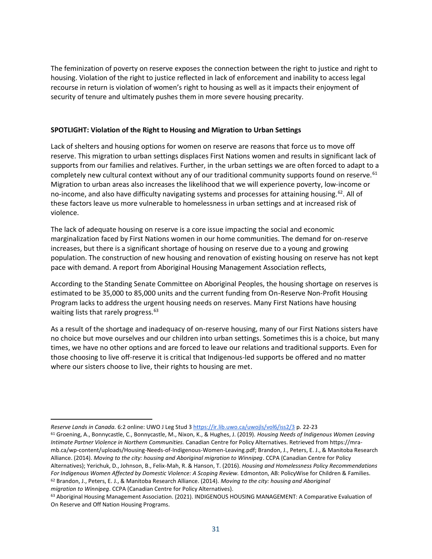The feminization of poverty on reserve exposes the connection between the right to justice and right to housing. Violation of the right to justice reflected in lack of enforcement and inability to access legal recourse in return is violation of women's right to housing as well as it impacts their enjoyment of security of tenure and ultimately pushes them in more severe housing precarity.

#### **SPOTLIGHT: Violation of the Right to Housing and Migration to Urban Settings**

Lack of shelters and housing options for women on reserve are reasons that force us to move off reserve. This migration to urban settings displaces First Nations women and results in significant lack of supports from our families and relatives. Further, in the urban settings we are often forced to adapt to a completely new cultural context without any of our traditional community supports found on reserve.<sup>61</sup> Migration to urban areas also increases the likelihood that we will experience poverty, low-income or no-income, and also have difficulty navigating systems and processes for attaining housing.<sup>62</sup>. All of these factors leave us more vulnerable to homelessness in urban settings and at increased risk of violence.

The lack of adequate housing on reserve is a core issue impacting the social and economic marginalization faced by First Nations women in our home communities. The demand for on-reserve increases, but there is a significant shortage of housing on reserve due to a young and growing population. The construction of new housing and renovation of existing housing on reserve has not kept pace with demand. A report from Aboriginal Housing Management Association reflects,

According to the Standing Senate Committee on Aboriginal Peoples, the housing shortage on reserves is estimated to be 35,000 to 85,000 units and the current funding from On-Reserve Non-Profit Housing Program lacks to address the urgent housing needs on reserves. Many First Nations have housing waiting lists that rarely progress.<sup>63</sup>

As a result of the shortage and inadequacy of on-reserve housing, many of our First Nations sisters have no choice but move ourselves and our children into urban settings. Sometimes this is a choice, but many times, we have no other options and are forced to leave our relations and traditional supports. Even for those choosing to live off-reserve it is critical that Indigenous-led supports be offered and no matter where our sisters choose to live, their rights to housing are met.

*Reserve Lands in Canada.* 6:2 online: UWO J Leg Stud [3 https://ir.lib.uwo.ca/uwojls/vol6/iss2/3](https://ir.lib.uwo.ca/uwojls/vol6/iss2/3) p. 22-23

<sup>61</sup> Groening, A., Bonnycastle, C., Bonnycastle, M., Nixon, K., & Hughes, J. (2019). *Housing Needs of Indigenous Women Leaving Intimate Partner Violence in Northern Communities.* Canadian Centre for Policy Alternatives. Retrieved from https://mramb.ca/wp-content/uploads/Housing-Needs-of-Indigenous-Women-Leaving.pdf; Brandon, J., Peters, E. J., & Manitoba Research Alliance. (2014). *Moving to the city: housing and Aboriginal migration to Winnipeg*. CCPA (Canadian Centre for Policy Alternatives); Yerichuk, D., Johnson, B., Felix-Mah, R. & Hanson, T. (2016). *Housing and Homelessness Policy Recommendations For Indigenous Women Affected by Domestic Violence: A Scoping Review.* Edmonton, AB: PolicyWise for Children & Families. <sup>62</sup> Brandon, J., Peters, E. J., & Manitoba Research Alliance. (2014). *Moving to the city: housing and Aboriginal migration to Winnipeg*. CCPA (Canadian Centre for Policy Alternatives).

<sup>63</sup> Aboriginal Housing Management Association. (2021). INDIGENOUS HOUSING MANAGEMENT: A Comparative Evaluation of On Reserve and Off Nation Housing Programs.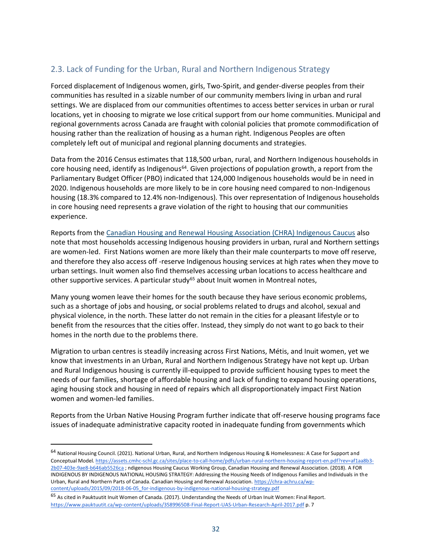#### <span id="page-31-0"></span>2.3. Lack of Funding for the Urban, Rural and Northern Indigenous Strategy

Forced displacement of Indigenous women, girls, Two-Spirit, and gender-diverse peoples from their communities has resulted in a sizable number of our community members living in urban and rural settings. We are displaced from our communities oftentimes to access better services in urban or rural locations, yet in choosing to migrate we lose critical support from our home communities. Municipal and regional governments across Canada are fraught with colonial policies that promote commodification of housing rather than the realization of housing as a human right. Indigenous Peoples are often completely left out of municipal and regional planning documents and strategies.

Data from the 2016 Census estimates that 118,500 urban, rural, and Northern Indigenous households in core housing need, identify as Indigenous<sup>64</sup>. Given projections of population growth, a report from the Parliamentary Budget Officer (PBO) indicated that 124,000 Indigenous households would be in need in 2020. Indigenous households are more likely to be in core housing need compared to non-Indigenous housing (18.3% compared to 12.4% non-Indigenous). This over representation of Indigenous households in core housing need represents a grave violation of the right to housing that our communities experience.

Reports from the [Canadian Housing and Renewal Housing Association \(CHRA\) Indigenous Caucus](https://forindigenousbyindigenous.ca/) also note that most households accessing Indigenous housing providers in urban, rural and Northern settings are women-led. First Nations women are more likely than their male counterparts to move off reserve, and therefore they also access off -reserve Indigenous housing services at high rates when they move to urban settings. Inuit women also find themselves accessing urban locations to access healthcare and other supportive services. A particular study<sup>65</sup> about Inuit women in Montreal notes,

Many young women leave their homes for the south because they have serious economic problems, such as a shortage of jobs and housing, or social problems related to drugs and alcohol, sexual and physical violence, in the north. These latter do not remain in the cities for a pleasant lifestyle or to benefit from the resources that the cities offer. Instead, they simply do not want to go back to their homes in the north due to the problems there.

Migration to urban centres is steadily increasing across First Nations, Métis, and Inuit women, yet we know that investments in an Urban, Rural and Northern Indigenous Strategy have not kept up. Urban and Rural Indigenous housing is currently ill-equipped to provide sufficient housing types to meet the needs of our families, shortage of affordable housing and lack of funding to expand housing operations, aging housing stock and housing in need of repairs which all disproportionately impact First Nation women and women-led families.

Reports from the Urban Native Housing Program further indicate that off-reserve housing programs face issues of inadequate administrative capacity rooted in inadequate funding from governments which

<sup>&</sup>lt;sup>64</sup> National Housing Council. (2021). National Urban, Rural, and Northern Indigenous Housing & Homelessness: A Case for Support and Conceptual Model[. https://assets.cmhc-schl.gc.ca/sites/place-to-call-home/pdfs/urban-rural-northern-housing-report-en.pdf?rev=af1aa8b3-](https://assets.cmhc-schl.gc.ca/sites/place-to-call-home/pdfs/urban-rural-northern-housing-report-en.pdf?rev=af1aa8b3-2b07-403e-9ae8-b646ab5526ca) [2b07-403e-9ae8-b646ab5526ca](https://assets.cmhc-schl.gc.ca/sites/place-to-call-home/pdfs/urban-rural-northern-housing-report-en.pdf?rev=af1aa8b3-2b07-403e-9ae8-b646ab5526ca) ; ndigenous Housing Caucus Working Group, Canadian Housing and Renewal Association. (2018). A FOR INDIGENOUS BY INDIGENOUS NATIONAL HOUSING STRATEGY: Addressing the Housing Needs of Indigenous Families and Individuals in the Urban, Rural and Northern Parts of Canada. Canadian Housing and Renewal Association[. https://chra-achru.ca/wp](https://chra-achru.ca/wp-content/uploads/2015/09/2018-06-05_for-indigenous-by-indigenous-national-housing-strategy.pdf)[content/uploads/2015/09/2018-06-05\\_for-indigenous-by-indigenous-national-housing-strategy.pdf](https://chra-achru.ca/wp-content/uploads/2015/09/2018-06-05_for-indigenous-by-indigenous-national-housing-strategy.pdf)

<sup>65</sup> As cited in Pauktuutit Inuit Women of Canada. (2017). Understanding the Needs of Urban Inuit Women: Final Report. <https://www.pauktuutit.ca/wp-content/uploads/358996508-Final-Report-UAS-Urban-Research-April-2017.pdf> p. 7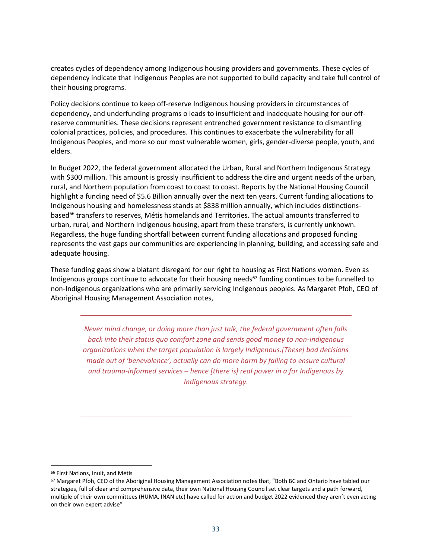creates cycles of dependency among Indigenous housing providers and governments. These cycles of dependency indicate that Indigenous Peoples are not supported to build capacity and take full control of their housing programs.

Policy decisions continue to keep off-reserve Indigenous housing providers in circumstances of dependency, and underfunding programs o leads to insufficient and inadequate housing for our offreserve communities. These decisions represent entrenched government resistance to dismantling colonial practices, policies, and procedures. This continues to exacerbate the vulnerability for all Indigenous Peoples, and more so our most vulnerable women, girls, gender-diverse people, youth, and elders.

In Budget 2022, the federal government allocated the Urban, Rural and Northern Indigenous Strategy with \$300 million. This amount is grossly insufficient to address the dire and urgent needs of the urban, rural, and Northern population from coast to coast to coast. Reports by the National Housing Council highlight a funding need of \$5.6 Billion annually over the next ten years. Current funding allocations to Indigenous housing and homelessness stands at \$838 million annually, which includes distinctionsbased<sup>66</sup> transfers to reserves, Métis homelands and Territories. The actual amounts transferred to urban, rural, and Northern Indigenous housing, apart from these transfers, is currently unknown. Regardless, the huge funding shortfall between current funding allocations and proposed funding represents the vast gaps our communities are experiencing in planning, building, and accessing safe and adequate housing.

These funding gaps show a blatant disregard for our right to housing as First Nations women. Even as Indigenous groups continue to advocate for their housing needs<sup>67</sup> funding continues to be funnelled to non-Indigenous organizations who are primarily servicing Indigenous peoples. As Margaret Pfoh, CEO of Aboriginal Housing Management Association notes,

*Never mind change, or doing more than just talk, the federal government often falls back into their status quo comfort zone and sends good money to non-indigenous organizations when the target population is largely Indigenous.[These] bad decisions made out of 'benevolence', actually can do more harm by failing to ensure cultural and trauma-informed services – hence [there is] real power in a for Indigenous by Indigenous strategy.*

<sup>66</sup> First Nations, Inuit, and Métis

<sup>67</sup> Margaret Pfoh, CEO of the Aboriginal Housing Management Association notes that, "Both BC and Ontario have tabled our strategies, full of clear and comprehensive data, their own National Housing Council set clear targets and a path forward, multiple of their own committees (HUMA, INAN etc) have called for action and budget 2022 evidenced they aren't even acting on their own expert advise"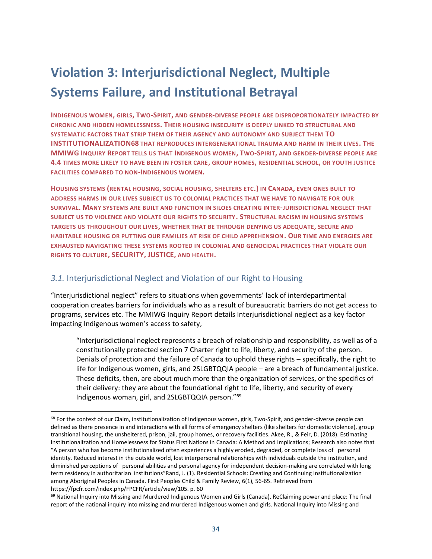### <span id="page-33-0"></span>**Violation 3: Interjurisdictional Neglect, Multiple Systems Failure, and Institutional Betrayal**

**INDIGENOUS WOMEN, GIRLS, TWO-SPIRIT, AND GENDER-DIVERSE PEOPLE ARE DISPROPORTIONATELY IMPACTED BY CHRONIC AND HIDDEN HOMELESSNESS. THEIR HOUSING INSECURITY IS DEEPLY LINKED TO STRUCTURAL AND SYSTEMATIC FACTORS THAT STRIP THEM OF THEIR AGENCY AND AUTONOMY AND SUBJECT THEM TO INSTITUTIONALIZATION68 THAT REPRODUCES INTERGENERATIONAL TRAUMA AND HARM IN THEIR LIVES. THE MMIWG INQUIRY REPORT TELLS US THAT INDIGENOUS WOMEN, TWO-SPIRIT, AND GENDER-DIVERSE PEOPLE ARE 4.4 TIMES MORE LIKELY TO HAVE BEEN IN FOSTER CARE, GROUP HOMES, RESIDENTIAL SCHOOL, OR YOUTH JUSTICE FACILITIES COMPARED TO NON-INDIGENOUS WOMEN.**

**HOUSING SYSTEMS (RENTAL HOUSING, SOCIAL HOUSING, SHELTERS ETC.) IN CANADA, EVEN ONES BUILT TO ADDRESS HARMS IN OUR LIVES SUBJECT US TO COLONIAL PRACTICES THAT WE HAVE TO NAVIGATE FOR OUR SURVIVAL. MANY SYSTEMS ARE BUILT AND FUNCTION IN SILOES CREATING INTER-JURISDICTIONAL NEGLECT THAT SUBJECT US TO VIOLENCE AND VIOLATE OUR RIGHTS TO SECURITY. STRUCTURAL RACISM IN HOUSING SYSTEMS TARGETS US THROUGHOUT OUR LIVES, WHETHER THAT BE THROUGH DENYING US ADEQUATE, SECURE AND HABITABLE HOUSING OR PUTTING OUR FAMILIES AT RISK OF CHILD APPREHENSION. OUR TIME AND ENERGIES ARE EXHAUSTED NAVIGATING THESE SYSTEMS ROOTED IN COLONIAL AND GENOCIDAL PRACTICES THAT VIOLATE OUR RIGHTS TO CULTURE, SECURITY, JUSTICE, AND HEALTH.**

#### <span id="page-33-1"></span>*3.1.* Interjurisdictional Neglect and Violation of our Right to Housing

"Interjurisdictional neglect" refers to situations when governments' lack of interdepartmental cooperation creates barriers for individuals who as a result of bureaucratic barriers do not get access to programs, services etc. The MMIWG Inquiry Report details Interjurisdictional neglect as a key factor impacting Indigenous women's access to safety,

"Interjurisdictional neglect represents a breach of relationship and responsibility, as well as of a constitutionally protected section 7 Charter right to life, liberty, and security of the person. Denials of protection and the failure of Canada to uphold these rights – specifically, the right to life for Indigenous women, girls, and 2SLGBTQQIA people – are a breach of fundamental justice. These deficits, then, are about much more than the organization of services, or the specifics of their delivery: they are about the foundational right to life, liberty, and security of every Indigenous woman, girl, and 2SLGBTQQIA person."<sup>69</sup>

<sup>&</sup>lt;sup>68</sup> For the context of our Claim, institutionalization of Indigenous women, girls, Two-Spirit, and gender-diverse people can defined as there presence in and interactions with all forms of emergency shelters (like shelters for domestic violence), group transitional housing, the unsheltered, prison, jail, group homes, or recovery facilities. Akee, R., & Feir, D. (2018). Estimating Institutionalization and Homelessness for Status First Nations in Canada: A Method and Implications; Research also notes that "A person who has become institutionalized often experiences a highly eroded, degraded, or complete loss of personal identity. Reduced interest in the outside world, lost interpersonal relationships with individuals outside the institution, and diminished perceptions of personal abilities and personal agency for independent decision-making are correlated with long term residency in authoritarian institutions"Rand, J. (1). Residential Schools: Creating and Continuing Institutionalization among Aboriginal Peoples in Canada. First Peoples Child & Family Review, 6(1), 56-65. Retrieved from https://fpcfr.com/index.php/FPCFR/article/view/105. p. 60

<sup>&</sup>lt;sup>69</sup> National Inquiry into Missing and Murdered Indigenous Women and Girls (Canada). ReClaiming power and place: The final report of the national inquiry into missing and murdered Indigenous women and girls. National Inquiry into Missing and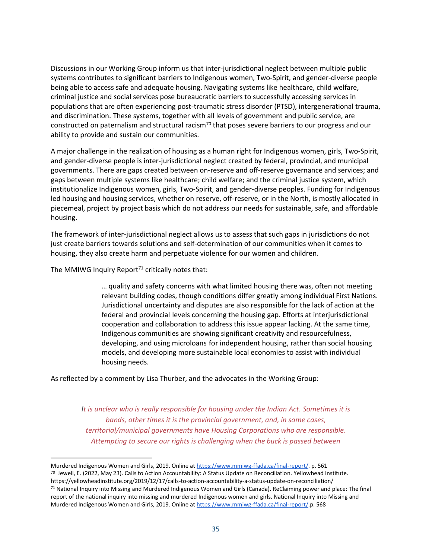Discussions in our Working Group inform us that inter-jurisdictional neglect between multiple public systems contributes to significant barriers to Indigenous women, Two-Spirit, and gender-diverse people being able to access safe and adequate housing. Navigating systems like healthcare, child welfare, criminal justice and social services pose bureaucratic barriers to successfully accessing services in populations that are often experiencing post-traumatic stress disorder (PTSD), intergenerational trauma, and discrimination. These systems, together with all levels of government and public service, are constructed on paternalism and structural racism<sup>70</sup> that poses severe barriers to our progress and our ability to provide and sustain our communities.

A major challenge in the realization of housing as a human right for Indigenous women, girls, Two-Spirit, and gender-diverse people is inter-jurisdictional neglect created by federal, provincial, and municipal governments. There are gaps created between on-reserve and off-reserve governance and services; and gaps between multiple systems like healthcare; child welfare; and the criminal justice system, which institutionalize Indigenous women, girls, Two-Spirit, and gender-diverse peoples. Funding for Indigenous led housing and housing services, whether on reserve, off-reserve, or in the North, is mostly allocated in piecemeal, project by project basis which do not address our needs for sustainable, safe, and affordable housing.

The framework of inter-jurisdictional neglect allows us to assess that such gaps in jurisdictions do not just create barriers towards solutions and self-determination of our communities when it comes to housing, they also create harm and perpetuate violence for our women and children.

The MMIWG Inquiry Report<sup>71</sup> critically notes that:

… quality and safety concerns with what limited housing there was, often not meeting relevant building codes, though conditions differ greatly among individual First Nations. Jurisdictional uncertainty and disputes are also responsible for the lack of action at the federal and provincial levels concerning the housing gap. Efforts at interjurisdictional cooperation and collaboration to address this issue appear lacking. At the same time, Indigenous communities are showing significant creativity and resourcefulness, developing, and using microloans for independent housing, rather than social housing models, and developing more sustainable local economies to assist with individual housing needs.

As reflected by a comment by Lisa Thurber, and the advocates in the Working Group:

*It is unclear who is really responsible for housing under the Indian Act. Sometimes it is bands, other times it is the provincial government, and, in some cases, territorial/municipal governments have Housing Corporations who are responsible. Attempting to secure our rights is challenging when the buck is passed between* 

Murdered Indigenous Women and Girls, 2019. Online at [https://www.mmiwg-ffada.ca/final-report/.](https://www.mmiwg-ffada.ca/final-report/) p. 561  $^{70}$  Jewell, E. (2022, May 23). Calls to Action Accountability: A Status Update on Reconciliation. Yellowhead Institute. https://yellowheadinstitute.org/2019/12/17/calls-to-action-accountability-a-status-update-on-reconciliation/ <sup>71</sup> National Inquiry into Missing and Murdered Indigenous Women and Girls (Canada). ReClaiming power and place: The final report of the national inquiry into missing and murdered Indigenous women and girls. National Inquiry into Missing and Murdered Indigenous Women and Girls, 2019. Online at [https://www.mmiwg-ffada.ca/final-report/.](https://www.mmiwg-ffada.ca/final-report/)p. 568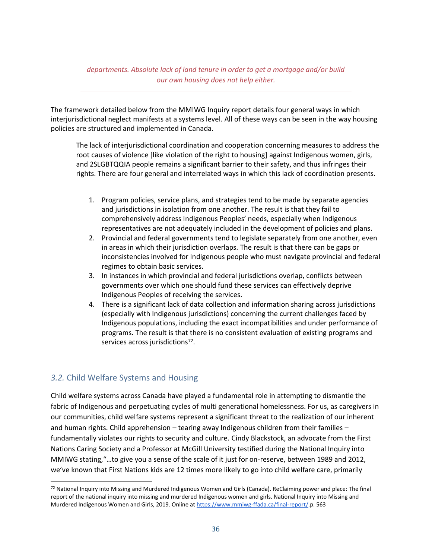*departments. Absolute lack of land tenure in order to get a mortgage and/or build our own housing does not help either.*

The framework detailed below from the MMIWG Inquiry report details four general ways in which interjurisdictional neglect manifests at a systems level. All of these ways can be seen in the way housing policies are structured and implemented in Canada.

The lack of interjurisdictional coordination and cooperation concerning measures to address the root causes of violence [like violation of the right to housing] against Indigenous women, girls, and 2SLGBTQQIA people remains a significant barrier to their safety, and thus infringes their rights. There are four general and interrelated ways in which this lack of coordination presents.

- 1. Program policies, service plans, and strategies tend to be made by separate agencies and jurisdictions in isolation from one another. The result is that they fail to comprehensively address Indigenous Peoples' needs, especially when Indigenous representatives are not adequately included in the development of policies and plans.
- 2. Provincial and federal governments tend to legislate separately from one another, even in areas in which their jurisdiction overlaps. The result is that there can be gaps or inconsistencies involved for Indigenous people who must navigate provincial and federal regimes to obtain basic services.
- 3. In instances in which provincial and federal jurisdictions overlap, conflicts between governments over which one should fund these services can effectively deprive Indigenous Peoples of receiving the services.
- 4. There is a significant lack of data collection and information sharing across jurisdictions (especially with Indigenous jurisdictions) concerning the current challenges faced by Indigenous populations, including the exact incompatibilities and under performance of programs. The result is that there is no consistent evaluation of existing programs and services across jurisdictions<sup>72</sup>.

#### <span id="page-35-0"></span>*3.2.* Child Welfare Systems and Housing

Child welfare systems across Canada have played a fundamental role in attempting to dismantle the fabric of Indigenous and perpetuating cycles of multi generational homelessness. For us, as caregivers in our communities, child welfare systems represent a significant threat to the realization of our inherent and human rights. Child apprehension – tearing away Indigenous children from their families – fundamentally violates our rights to security and culture. Cindy Blackstock, an advocate from the First Nations Caring Society and a Professor at McGill University testified during the National Inquiry into MMIWG stating,"…to give you a sense of the scale of it just for on-reserve, between 1989 and 2012, we've known that First Nations kids are 12 times more likely to go into child welfare care, primarily

<sup>72</sup> National Inquiry into Missing and Murdered Indigenous Women and Girls (Canada). ReClaiming power and place: The final report of the national inquiry into missing and murdered Indigenous women and girls. National Inquiry into Missing and Murdered Indigenous Women and Girls, 2019. Online at [https://www.mmiwg-ffada.ca/final-report/.](https://www.mmiwg-ffada.ca/final-report/)p. 563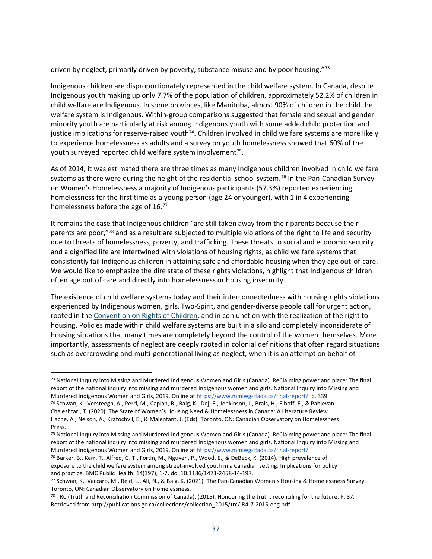driven by neglect, primarily driven by poverty, substance misuse and by poor housing."73

Indigenous children are disproportionately represented in the child welfare system. In Canada, despite Indigenous youth making up only 7.7% of the population of children, approximately 52.2% of children in child welfare are Indigenous. In some provinces, like Manitoba, almost 90% of children in the child the welfare system is Indigenous. Within-group comparisons suggested that female and sexual and gender minority youth are particularly at risk among Indigenous youth with some added child protection and justice implications for reserve-raised youth<sup>74</sup>. Children involved in child welfare systems are more likely to experience homelessness as adults and a survey on youth homelessness showed that 60% of the youth surveyed reported child welfare system involvement<sup>75</sup>.

As of 2014, it was estimated there are three times as many Indigenous children involved in child welfare systems as there were during the height of the residential school system.<sup>76</sup> In the Pan-Canadian Survey on Women's Homelessness a majority of Indigenous participants (57.3%) reported experiencing homelessness for the first time as a young person (age 24 or younger), with 1 in 4 experiencing homelessness before the age of 16.77

It remains the case that Indigenous children "are still taken away from their parents because their parents are poor,"78 and as a result are subjected to multiple violations of the right to life and security due to threats of homelessness, poverty, and trafficking. These threats to social and economic security and a dignified life are intertwined with violations of housing rights, as child welfare systems that consistently fail Indigenous children in attaining safe and affordable housing when they age out-of-care. We would like to emphasize the dire state of these rights violations, highlight that Indigenous children often age out of care and directly into homelessness or housing insecurity.

The existence of child welfare systems today and their interconnectedness with housing rights violations experienced by Indigenous women, girls, Two-Spirit, and gender-diverse people call for urgent action, rooted in the [Convention on Rights of Children,](https://www.ohchr.org/en/instruments-mechanisms/instruments/convention-rights-child) and in conjunction with the realization of the right to housing. Policies made within child welfare systems are built in a silo and completely inconsiderate of housing situations that many times are completely beyond the control of the women themselves. More importantly, assessments of neglect are deeply rooted in colonial definitions that often regard situations such as overcrowding and multi-generational living as neglect, when it is an attempt on behalf of

<sup>73</sup> National Inquiry into Missing and Murdered Indigenous Women and Girls (Canada). ReClaiming power and place: The final report of the national inquiry into missing and murdered Indigenous women and girls. National Inquiry into Missing and Murdered Indigenous Women and Girls, 2019. Online at [https://www.mmiwg-ffada.ca/final-report/.](https://www.mmiwg-ffada.ca/final-report/) p. 339

<sup>74</sup> Schwan, K., Versteegh, A., Perri, M., Caplan, R., Baig, K., Dej, E., Jenkinson, J., Brais, H., Eiboff, F., & Pahlevan Chaleshtari, T. (2020). The State of Women's Housing Need & Homelessness in Canada: A Literature Review. Hache, A., Nelson, A., Kratochvil, E., & Malenfant, J. (Eds). Toronto, ON: Canadian Observatory on Homelessness Press.

<sup>75</sup> National Inquiry into Missing and Murdered Indigenous Women and Girls (Canada). ReClaiming power and place: The final report of the national inquiry into missing and murdered Indigenous women and girls. National Inquiry into Missing and Murdered Indigenous Women and Girls, 2019. Online at<https://www.mmiwg-ffada.ca/final-report/>

<sup>76</sup> Barker, B., Kerr, T., Alfred, G. T., Fortin, M., Nguyen, P., Wood, E., & DeBeck, K. (2014). High prevalence of exposure to the child welfare system among street-involved youth in a Canadian setting: Implications for policy and practice. BMC Public Health, 14(197), 1-7. doi:10.1186/1471-2458-14-197.

<sup>77</sup> Schwan, K., Vaccaro, M., Reid, L., Ali, N., & Baig, K. (2021). The Pan-Canadian Women's Housing & Homelessness Survey. Toronto, ON: Canadian Observatory on Homelessness.

<sup>&</sup>lt;sup>78</sup> TRC (Truth and Reconciliation Commission of Canada). (2015). Honouring the truth, reconciling for the future. P. 87. Retrieved from http://publications.gc.ca/collections/collection\_2015/trc/IR4-7-2015-eng.pdf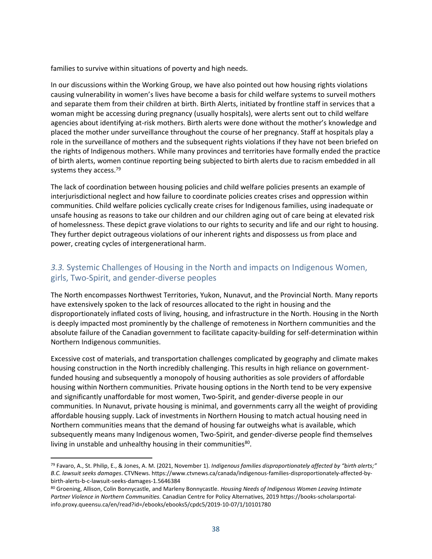families to survive within situations of poverty and high needs.

In our discussions within the Working Group, we have also pointed out how housing rights violations causing vulnerability in women's lives have become a basis for child welfare systems to surveil mothers and separate them from their children at birth. Birth Alerts, initiated by frontline staff in services that a woman might be accessing during pregnancy (usually hospitals), were alerts sent out to child welfare agencies about identifying at-risk mothers. Birth alerts were done without the mother's knowledge and placed the mother under surveillance throughout the course of her pregnancy. Staff at hospitals play a role in the surveillance of mothers and the subsequent rights violations if they have not been briefed on the rights of Indigenous mothers. While many provinces and territories have formally ended the practice of birth alerts, women continue reporting being subjected to birth alerts due to racism embedded in all systems they access.<sup>79</sup>

The lack of coordination between housing policies and child welfare policies presents an example of interjurisdictional neglect and how failure to coordinate policies creates crises and oppression within communities. Child welfare policies cyclically create crises for Indigenous families, using inadequate or unsafe housing as reasons to take our children and our children aging out of care being at elevated risk of homelessness. These depict grave violations to our rights to security and life and our right to housing. They further depict outrageous violations of our inherent rights and dispossess us from place and power, creating cycles of intergenerational harm.

#### <span id="page-37-0"></span>*3.3.* Systemic Challenges of Housing in the North and impacts on Indigenous Women, girls, Two-Spirit, and gender-diverse peoples

The North encompasses Northwest Territories, Yukon, Nunavut, and the Provincial North. Many reports have extensively spoken to the lack of resources allocated to the right in housing and the disproportionately inflated costs of living, housing, and infrastructure in the North. Housing in the North is deeply impacted most prominently by the challenge of remoteness in Northern communities and the absolute failure of the Canadian government to facilitate capacity-building for self-determination within Northern Indigenous communities.

Excessive cost of materials, and transportation challenges complicated by geography and climate makes housing construction in the North incredibly challenging. This results in high reliance on governmentfunded housing and subsequently a monopoly of housing authorities as sole providers of affordable housing within Northern communities. Private housing options in the North tend to be very expensive and significantly unaffordable for most women, Two-Spirit, and gender-diverse people in our communities. In Nunavut, private housing is minimal, and governments carry all the weight of providing affordable housing supply. Lack of investments in Northern Housing to match actual housing need in Northern communities means that the demand of housing far outweighs what is available, which subsequently means many Indigenous women, Two-Spirit, and gender-diverse people find themselves living in unstable and unhealthy housing in their communities<sup>80</sup>.

<sup>79</sup> Favaro, A., St. Philip, E., & Jones, A. M. (2021, November 1). *Indigenous families disproportionately affected by "birth alerts;" B.C. lawsuit seeks damages*. CTVNews. https://www.ctvnews.ca/canada/indigenous-families-disproportionately-affected-bybirth-alerts-b-c-lawsuit-seeks-damages-1.5646384

<sup>80</sup> Groening, Allison, Colin Bonnycastle, and Marleny Bonnycastle. *Housing Needs of Indigenous Women Leaving Intimate Partner Violence in Northern Communities.* Canadian Centre for Policy Alternatives, 2019 https://books-scholarsportalinfo.proxy.queensu.ca/en/read?id=/ebooks/ebooks5/cpdc5/2019-10-07/1/10101780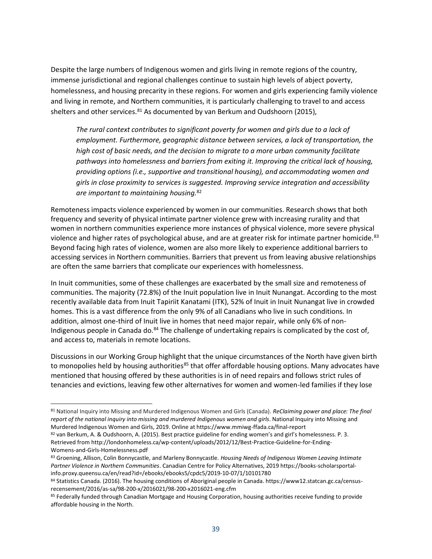Despite the large numbers of Indigenous women and girls living in remote regions of the country, immense jurisdictional and regional challenges continue to sustain high levels of abject poverty, homelessness, and housing precarity in these regions. For women and girls experiencing family violence and living in remote, and Northern communities, it is particularly challenging to travel to and access shelters and other services. $81$  As documented by van Berkum and Oudshoorn (2015),

*The rural context contributes to significant poverty for women and girls due to a lack of employment. Furthermore, geographic distance between services, a lack of transportation, the high cost of basic needs, and the decision to migrate to a more urban community facilitate pathways into homelessness and barriers from exiting it. Improving the critical lack of housing, providing options (i.e., supportive and transitional housing), and accommodating women and girls in close proximity to services is suggested. Improving service integration and accessibility are important to maintaining housing.*<sup>82</sup>

Remoteness impacts violence experienced by women in our communities. Research shows that both frequency and severity of physical intimate partner violence grew with increasing rurality and that women in northern communities experience more instances of physical violence, more severe physical violence and higher rates of psychological abuse, and are at greater risk for intimate partner homicide.<sup>83</sup> Beyond facing high rates of violence, women are also more likely to experience additional barriers to accessing services in Northern communities. Barriers that prevent us from leaving abusive relationships are often the same barriers that complicate our experiences with homelessness.

In Inuit communities, some of these challenges are exacerbated by the small size and remoteness of communities. The majority (72.8%) of the Inuit population live in Inuit Nunangat. According to the most recently available data from Inuit Tapiriit Kanatami (ITK), 52% of Inuit in Inuit Nunangat live in crowded homes. This is a vast difference from the only 9% of all Canadians who live in such conditions. In addition, almost one-third of Inuit live in homes that need major repair, while only 6% of non-Indigenous people in Canada do.<sup>84</sup> The challenge of undertaking repairs is complicated by the cost of, and access to, materials in remote locations.

Discussions in our Working Group highlight that the unique circumstances of the North have given birth to monopolies held by housing authorities<sup>85</sup> that offer affordable housing options. Many advocates have mentioned that housing offered by these authorities is in of need repairs and follows strict rules of tenancies and evictions, leaving few other alternatives for women and women-led families if they lose

<sup>81</sup> National Inquiry into Missing and Murdered Indigenous Women and Girls (Canada). *ReClaiming power and place: The final report of the national inquiry into missing and murdered Indigenous women and girls*. National Inquiry into Missing and Murdered Indigenous Women and Girls, 2019. Online at https://www.mmiwg-ffada.ca/final-report

<sup>82</sup> van Berkum, A. & Oudshoorn, A. (2015). Best practice guideline for ending women's and girl's homelessness. P. 3. Retrieved from http://londonhomeless.ca/wp-content/uploads/2012/12/Best-Practice-Guideline-for-Ending-Womens-and-Girls-Homelessness.pdf

<sup>83</sup> Groening, Allison, Colin Bonnycastle, and Marleny Bonnycastle. *Housing Needs of Indigenous Women Leaving Intimate Partner Violence in Northern Communities*. Canadian Centre for Policy Alternatives, 2019 https://books-scholarsportalinfo.proxy.queensu.ca/en/read?id=/ebooks/ebooks5/cpdc5/2019-10-07/1/10101780

<sup>84</sup> Statistics Canada. (2016). The housing conditions of Aboriginal people in Canada. https://www12.statcan.gc.ca/censusrecensement/2016/as-sa/98-200-x/2016021/98-200-x2016021-eng.cfm

<sup>85</sup> Federally funded through Canadian Mortgage and Housing Corporation, housing authorities receive funding to provide affordable housing in the North.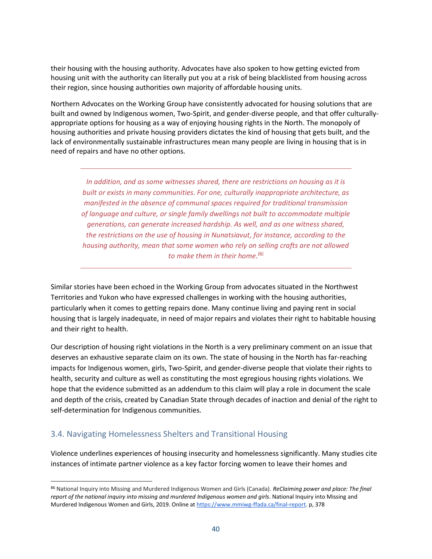their housing with the housing authority. Advocates have also spoken to how getting evicted from housing unit with the authority can literally put you at a risk of being blacklisted from housing across their region, since housing authorities own majority of affordable housing units.

Northern Advocates on the Working Group have consistently advocated for housing solutions that are built and owned by Indigenous women, Two-Spirit, and gender-diverse people, and that offer culturallyappropriate options for housing as a way of enjoying housing rights in the North. The monopoly of housing authorities and private housing providers dictates the kind of housing that gets built, and the lack of environmentally sustainable infrastructures mean many people are living in housing that is in need of repairs and have no other options.

*In addition, and as some witnesses shared, there are restrictions on housing as it is built or exists in many communities. For one, culturally inappropriate architecture, as manifested in the absence of communal spaces required for traditional transmission of language and culture, or single family dwellings not built to accommodate multiple generations, can generate increased hardship. As well, and as one witness shared, the restrictions on the use of housing in Nunatsiavut, for instance, according to the housing authority, mean that some women who rely on selling crafts are not allowed to make them in their home. 86*

Similar stories have been echoed in the Working Group from advocates situated in the Northwest Territories and Yukon who have expressed challenges in working with the housing authorities, particularly when it comes to getting repairs done. Many continue living and paying rent in social housing that is largely inadequate, in need of major repairs and violates their right to habitable housing and their right to health.

Our description of housing right violations in the North is a very preliminary comment on an issue that deserves an exhaustive separate claim on its own. The state of housing in the North has far-reaching impacts for Indigenous women, girls, Two-Spirit, and gender-diverse people that violate their rights to health, security and culture as well as constituting the most egregious housing rights violations. We hope that the evidence submitted as an addendum to this claim will play a role in document the scale and depth of the crisis, created by Canadian State through decades of inaction and denial of the right to self-determination for Indigenous communities.

#### <span id="page-39-0"></span>3.4. Navigating Homelessness Shelters and Transitional Housing

Violence underlines experiences of housing insecurity and homelessness significantly. Many studies cite instances of intimate partner violence as a key factor forcing women to leave their homes and

<sup>86</sup> National Inquiry into Missing and Murdered Indigenous Women and Girls (Canada). *ReClaiming power and place: The final report of the national inquiry into missing and murdered Indigenous women and girls*. National Inquiry into Missing and Murdered Indigenous Women and Girls, 2019. Online at [https://www.mmiwg-ffada.ca/final-report.](https://www.mmiwg-ffada.ca/final-report) p, 378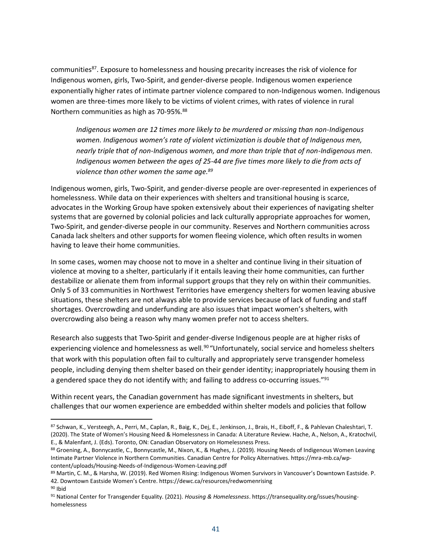communities<sup>87</sup>. Exposure to homelessness and housing precarity increases the risk of violence for Indigenous women, girls, Two-Spirit, and gender-diverse people. Indigenous women experience exponentially higher rates of intimate partner violence compared to non-Indigenous women. Indigenous women are three-times more likely to be victims of violent crimes, with rates of violence in rural Northern communities as high as 70-95%.<sup>88</sup>

*Indigenous women are 12 times more likely to be murdered or missing than non-Indigenous women. Indigenous women's rate of violent victimization is double that of Indigenous men, nearly triple that of non-Indigenous women, and more than triple that of non-Indigenous men. Indigenous women between the ages of 25-44 are five times more likely to die from acts of violence than other women the same age.<sup>89</sup>*

Indigenous women, girls, Two-Spirit, and gender-diverse people are over-represented in experiences of homelessness. While data on their experiences with shelters and transitional housing is scarce, advocates in the Working Group have spoken extensively about their experiences of navigating shelter systems that are governed by colonial policies and lack culturally appropriate approaches for women, Two-Spirit, and gender-diverse people in our community. Reserves and Northern communities across Canada lack shelters and other supports for women fleeing violence, which often results in women having to leave their home communities.

In some cases, women may choose not to move in a shelter and continue living in their situation of violence at moving to a shelter, particularly if it entails leaving their home communities, can further destabilize or alienate them from informal support groups that they rely on within their communities. Only 5 of 33 communities in Northwest Territories have emergency shelters for women leaving abusive situations, these shelters are not always able to provide services because of lack of funding and staff shortages. Overcrowding and underfunding are also issues that impact women's shelters, with overcrowding also being a reason why many women prefer not to access shelters.

Research also suggests that Two-Spirit and gender-diverse Indigenous people are at higher risks of experiencing violence and homelessness as well.<sup>90</sup> "Unfortunately, social service and homeless shelters that work with this population often fail to culturally and appropriately serve transgender homeless people, including denying them shelter based on their gender identity; inappropriately housing them in a gendered space they do not identify with; and failing to address co-occurring issues."91

Within recent years, the Canadian government has made significant investments in shelters, but challenges that our women experience are embedded within shelter models and policies that follow

<sup>87</sup> Schwan, K., Versteegh, A., Perri, M., Caplan, R., Baig, K., Dej, E., Jenkinson, J., Brais, H., Eiboff, F., & Pahlevan Chaleshtari, T. (2020). The State of Women's Housing Need & Homelessness in Canada: A Literature Review. Hache, A., Nelson, A., Kratochvil, E., & Malenfant, J. (Eds). Toronto, ON: Canadian Observatory on Homelessness Press.

<sup>88</sup> Groening, A., Bonnycastle, C., Bonnycastle, M., Nixon, K., & Hughes, J. (2019). Housing Needs of Indigenous Women Leaving Intimate Partner Violence in Northern Communities. Canadian Centre for Policy Alternatives. https://mra-mb.ca/wpcontent/uploads/Housing-Needs-of-Indigenous-Women-Leaving.pdf

<sup>89</sup> Martin, C. M., & Harsha, W. (2019). Red Women Rising: Indigenous Women Survivors in Vancouver's Downtown Eastside. P. 42. Downtown Eastside Women's Centre. https://dewc.ca/resources/redwomenrising <sup>90</sup> Ibid

<sup>91</sup> National Center for Transgender Equality. (2021). *Housing & Homelessness*. https://transequality.org/issues/housinghomelessness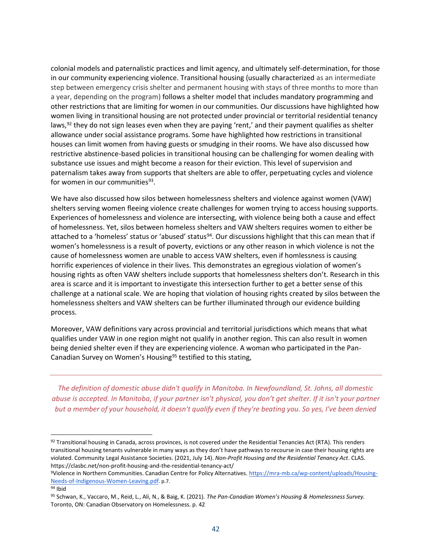colonial models and paternalistic practices and limit agency, and ultimately self-determination, for those in our community experiencing violence. Transitional housing (usually characterized as an intermediate step between emergency crisis shelter and permanent housing with stays of three months to more than a year, depending on the program) follows a shelter model that includes mandatory programming and other restrictions that are limiting for women in our communities. Our discussions have highlighted how women living in transitional housing are not protected under provincial or territorial residential tenancy laws, $92$  they do not sign leases even when they are paying 'rent,' and their payment qualifies as shelter allowance under social assistance programs. Some have highlighted how restrictions in transitional houses can limit women from having guests or smudging in their rooms. We have also discussed how restrictive abstinence-based policies in transitional housing can be challenging for women dealing with substance use issues and might become a reason for their eviction. This level of supervision and paternalism takes away from supports that shelters are able to offer, perpetuating cycles and violence for women in our communities<sup>93</sup>.

We have also discussed how silos between homelessness shelters and violence against women (VAW) shelters serving women fleeing violence create challenges for women trying to access housing supports. Experiences of homelessness and violence are intersecting, with violence being both a cause and effect of homelessness. Yet, silos between homeless shelters and VAW shelters requires women to either be attached to a 'homeless' status or 'abused' status<sup>94</sup>. Our discussions highlight that this can mean that if women's homelessness is a result of poverty, evictions or any other reason in which violence is not the cause of homelessness women are unable to access VAW shelters, even if homlessness is causing horrific experiences of violence in their lives. This demonstrates an egregious violation of women's housing rights as often VAW shelters include supports that homelessness shelters don't. Research in this area is scarce and it is important to investigate this intersection further to get a better sense of this challenge at a national scale. We are hoping that violation of housing rights created by silos between the homelessness shelters and VAW shelters can be further illuminated through our evidence building process.

Moreover, VAW definitions vary across provincial and territorial jurisdictions which means that what qualifies under VAW in one region might not qualify in another region. This can also result in women being denied shelter even if they are experiencing violence. A woman who participated in the Pan-Canadian Survey on Women's Housing<sup>95</sup> testified to this stating,

*The definition of domestic abuse didn't qualify in Manitoba. In Newfoundland, St. Johns, all domestic abuse is accepted. In Manitoba, if your partner isn't physical, you don't get shelter. If it isn't your partner but a member of your household, it doesn't qualify even if they're beating you. So yes, I've been denied* 

<sup>92</sup> Transitional housing in Canada, across provinces, is not covered under the Residential Tenancies Act (RTA). This renders transitional housing tenants vulnerable in many ways as they don't have pathways to recourse in case their housing rights are violated. Community Legal Assistance Societies. (2021, July 14). *Non-Profit Housing and the Residential Tenancy Act*. CLAS. https://clasbc.net/non-profit-housing-and-the-residential-tenancy-act/

<sup>9</sup>Violence in Northern Communities. Canadian Centre for Policy Alternatives. [https://mra-mb.ca/wp-content/uploads/Housing-](https://mra-mb.ca/wp-content/uploads/Housing-Needs-of-Indigenous-Women-Leaving.pdf)[Needs-of-Indigenous-Women-Leaving.pdf](https://mra-mb.ca/wp-content/uploads/Housing-Needs-of-Indigenous-Women-Leaving.pdf). p.7.

<sup>94</sup> Ibid

<sup>95</sup> Schwan, K., Vaccaro, M., Reid, L., Ali, N., & Baig, K. (2021). *The Pan-Canadian Women's Housing & Homelessness Survey.* Toronto, ON: Canadian Observatory on Homelessness. p. 42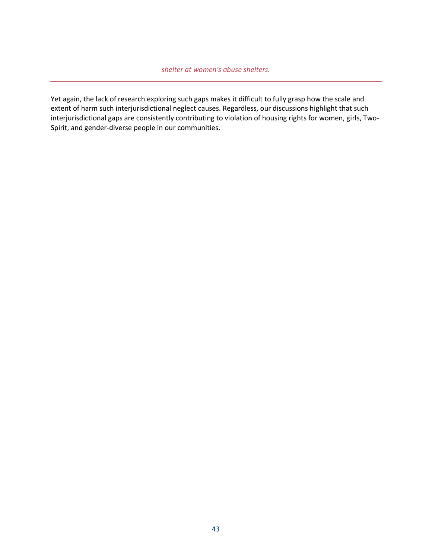Yet again, the lack of research exploring such gaps makes it difficult to fully grasp how the scale and extent of harm such interjurisdictional neglect causes. Regardless, our discussions highlight that such interjurisdictional gaps are consistently contributing to violation of housing rights for women, girls, Two-Spirit, and gender-diverse people in our communities.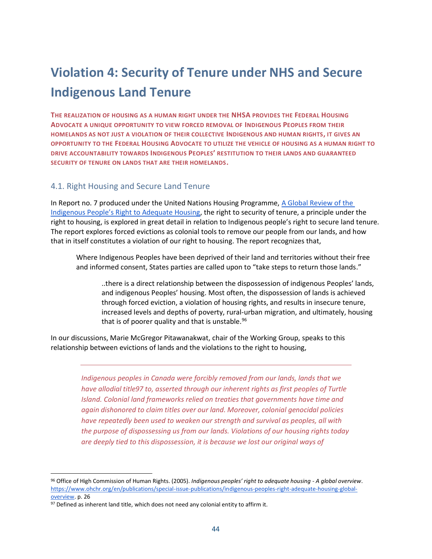### <span id="page-43-0"></span>**Violation 4: Security of Tenure under NHS and Secure Indigenous Land Tenure**

**THE REALIZATION OF HOUSING AS A HUMAN RIGHT UNDER THE NHSA PROVIDES THE FEDERAL HOUSING ADVOCATE A UNIQUE OPPORTUNITY TO VIEW FORCED REMOVAL OF INDIGENOUS PEOPLES FROM THEIR HOMELANDS AS NOT JUST A VIOLATION OF THEIR COLLECTIVE INDIGENOUS AND HUMAN RIGHTS, IT GIVES AN OPPORTUNITY TO THE FEDERAL HOUSING ADVOCATE TO UTILIZE THE VEHICLE OF HOUSING AS A HUMAN RIGHT TO DRIVE ACCOUNTABILITY TOWARDS INDIGENOUS PEOPLES' RESTITUTION TO THEIR LANDS AND GUARANTEED SECURITY OF TENURE ON LANDS THAT ARE THEIR HOMELANDS.** 

#### <span id="page-43-1"></span>4.1. Right Housing and Secure Land Tenure

In Report no. 7 produced under the United Nations Housing Programme, [A Global Review of the](https://www.ohchr.org/en/publications/special-issue-publications/indigenous-peoples-right-adequate-housing-global-overview)  [Indigenous People's Right to Adequate Housing](https://www.ohchr.org/en/publications/special-issue-publications/indigenous-peoples-right-adequate-housing-global-overview), the right to security of tenure, a principle under the right to housing, is explored in great detail in relation to Indigenous people's right to secure land tenure. The report explores forced evictions as colonial tools to remove our people from our lands, and how that in itself constitutes a violation of our right to housing. The report recognizes that,

Where Indigenous Peoples have been deprived of their land and territories without their free and informed consent, States parties are called upon to "take steps to return those lands."

..there is a direct relationship between the dispossession of indigenous Peoples' lands, and indigenous Peoples' housing. Most often, the dispossession of lands is achieved through forced eviction, a violation of housing rights, and results in insecure tenure, increased levels and depths of poverty, rural-urban migration, and ultimately, housing that is of poorer quality and that is unstable. $96$ 

In our discussions, Marie McGregor Pitawanakwat, chair of the Working Group, speaks to this relationship between evictions of lands and the violations to the right to housing,

> *Indigenous peoples in Canada were forcibly removed from our lands, lands that we have allodial title97 to, asserted through our inherent rights as first peoples of Turtle Island. Colonial land frameworks relied on treaties that governments have time and again dishonored to claim titles over our land. Moreover, colonial genocidal policies have repeatedly been used to weaken our strength and survival as peoples, all with the purpose of dispossessing us from our lands. Violations of our housing rights today are deeply tied to this dispossession, it is because we lost our original ways of*

<sup>96</sup> Office of High Commission of Human Rights. (2005). *Indigenous peoples' right to adequate housing - A global overview*. [https://www.ohchr.org/en/publications/special-issue-publications/indigenous-peoples-right-adequate-housing-global](https://www.ohchr.org/en/publications/special-issue-publications/indigenous-peoples-right-adequate-housing-global-overview)[overview.](https://www.ohchr.org/en/publications/special-issue-publications/indigenous-peoples-right-adequate-housing-global-overview) p. 26

 $97$  Defined as inherent land title, which does not need any colonial entity to affirm it.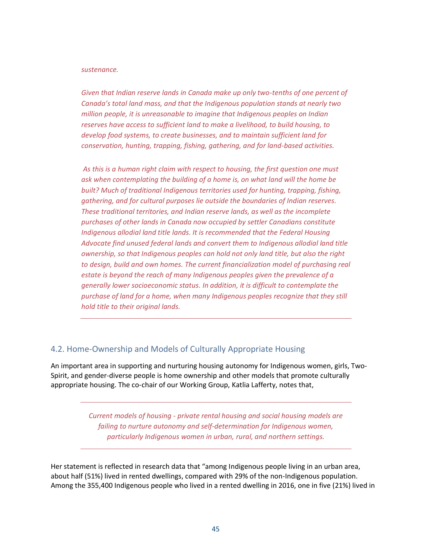#### *sustenance.*

*Given that Indian reserve lands in Canada make up only two-tenths of one percent of Canada's total land mass, and that the Indigenous population stands at nearly two million people, it is unreasonable to imagine that Indigenous peoples on Indian reserves have access to sufficient land to make a livelihood, to build housing, to develop food systems, to create businesses, and to maintain sufficient land for conservation, hunting, trapping, fishing, gathering, and for land-based activities.* 

*As this is a human right claim with respect to housing, the first question one must ask when contemplating the building of a home is, on what land will the home be built? Much of traditional Indigenous territories used for hunting, trapping, fishing, gathering, and for cultural purposes lie outside the boundaries of Indian reserves. These traditional territories, and Indian reserve lands, as well as the incomplete purchases of other lands in Canada now occupied by settler Canadians constitute Indigenous allodial land title lands. It is recommended that the Federal Housing Advocate find unused federal lands and convert them to Indigenous allodial land title ownership, so that Indigenous peoples can hold not only land title, but also the right to design, build and own homes. The current financialization model of purchasing real estate is beyond the reach of many Indigenous peoples given the prevalence of a generally lower socioeconomic status. In addition, it is difficult to contemplate the purchase of land for a home, when many Indigenous peoples recognize that they still hold title to their original lands.* 

#### <span id="page-44-0"></span>4.2. Home-Ownership and Models of Culturally Appropriate Housing

An important area in supporting and nurturing housing autonomy for Indigenous women, girls, Two-Spirit, and gender-diverse people is home ownership and other models that promote culturally appropriate housing. The co-chair of our Working Group, Katlia Lafferty, notes that,

> *Current models of housing - private rental housing and social housing models are failing to nurture autonomy and self-determination for Indigenous women, particularly Indigenous women in urban, rural, and northern settings.*

Her statement is reflected in research data that "among Indigenous people living in an urban area, about half (51%) lived in rented dwellings, compared with 29% of the non-Indigenous population. Among the 355,400 Indigenous people who lived in a rented dwelling in 2016, one in five (21%) lived in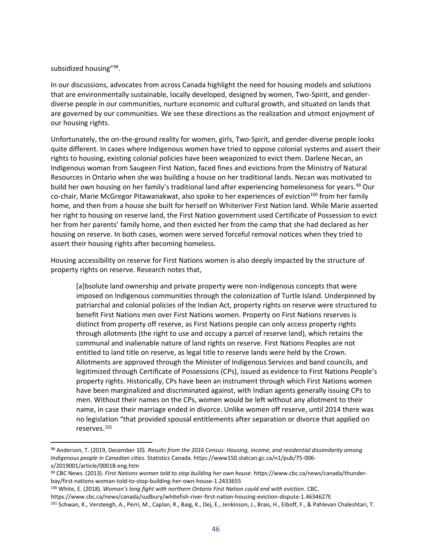subsidized housing"<sup>98</sup>.

In our discussions, advocates from across Canada highlight the need for housing models and solutions that are environmentally sustainable, locally developed, designed by women, Two-Spirit, and genderdiverse people in our communities, nurture economic and cultural growth, and situated on lands that are governed by our communities. We see these directions as the realization and utmost enjoyment of our housing rights.

Unfortunately, the on-the-ground reality for women, girls, Two-Spirit, and gender-diverse people looks quite different. In cases where Indigenous women have tried to oppose colonial systems and assert their rights to housing, existing colonial policies have been weaponized to evict them. Darlene Necan, an Indigenous woman from Saugeen First Nation, faced fines and evictions from the Ministry of Natural Resources in Ontario when she was building a house on her traditional lands. Necan was motivated to build her own housing on her family's traditional land after experiencing homelessness for years.<sup>99</sup> Our co-chair, Marie McGregor Pitawanakwat, also spoke to her experiences of eviction<sup>100</sup> from her family home, and then from a house she built for herself on Whiteriver First Nation land. While Marie asserted her right to housing on reserve land, the First Nation government used Certificate of Possession to evict her from her parents' family home, and then evicted her from the camp that she had declared as her housing on reserve. In both cases, women were served forceful removal notices when they tried to assert their housing rights after becoming homeless.

Housing accessibility on reserve for First Nations women is also deeply impacted by the structure of property rights on reserve. Research notes that,

[a]bsolute land ownership and private property were non-Indigenous concepts that were imposed on Indigenous communities through the colonization of Turtle Island. Underpinned by patriarchal and colonial policies of the Indian Act, property rights on reserve were structured to benefit First Nations men over First Nations women. Property on First Nations reserves is distinct from property off reserve, as First Nations people can only access property rights through allotments (the right to use and occupy a parcel of reserve land), which retains the communal and inalienable nature of land rights on reserve. First Nations Peoples are not entitled to land title on reserve, as legal title to reserve lands were held by the Crown. Allotments are approved through the Minister of Indigenous Services and band councils, and legitimized through Certificate of Possessions (CPs), issued as evidence to First Nations People's property rights. Historically, CPs have been an instrument through which First Nations women have been marginalized and discriminated against, with Indian agents generally issuing CPs to men. Without their names on the CPs, women would be left without any allotment to their name, in case their marriage ended in divorce. Unlike women off reserve, until 2014 there was no legislation "that provided spousal entitlements after separation or divorce that applied on reserves.<sup>101</sup>

<sup>98</sup> Anderson, T. (2019, December 10). *Results from the 2016 Census: Housing, income, and residential dissimilarity among Indigenous people in Canadian cities*. Statistics Canada. https://www150.statcan.gc.ca/n1/pub/75-006 x/2019001/article/00018-eng.htm

<sup>99</sup> CBC News. (2013). *First Nations woman told to stop building her own house*. https://www.cbc.ca/news/canada/thunderbay/first-nations-woman-told-to-stop-building-her-own-house-1.2433655

<sup>100</sup> White, E. (2018). *Woman's long fight with northern Ontario First Nation could end with eviction*. CBC. https://www.cbc.ca/news/canada/sudbury/whitefish-river-first-nation-housing-eviction-dispute-1.4634627E

<sup>101</sup> Schwan, K., Versteegh, A., Perri, M., Caplan, R., Baig, K., Dej, E., Jenkinson, J., Brais, H., Eiboff, F., & Pahlevan Chaleshtari, T.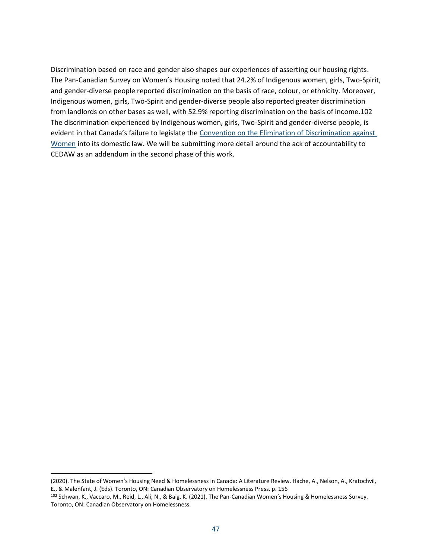Discrimination based on race and gender also shapes our experiences of asserting our housing rights. The Pan-Canadian Survey on Women's Housing noted that 24.2% of Indigenous women, girls, Two-Spirit, and gender-diverse people reported discrimination on the basis of race, colour, or ethnicity. Moreover, Indigenous women, girls, Two-Spirit and gender-diverse people also reported greater discrimination from landlords on other bases as well, with 52.9% reporting discrimination on the basis of income.102 The discrimination experienced by Indigenous women, girls, Two-Spirit and gender-diverse people, is evident in that Canada's failure to legislate the Convention on the Elimination of Discrimination against [Women](https://www.ohchr.org/en/instruments-mechanisms/instruments/convention-elimination-all-forms-discrimination-against-women) into its domestic law. We will be submitting more detail around the ack of accountability to CEDAW as an addendum in the second phase of this work.

<sup>(2020).</sup> The State of Women's Housing Need & Homelessness in Canada: A Literature Review. Hache, A., Nelson, A., Kratochvil, E., & Malenfant, J. (Eds). Toronto, ON: Canadian Observatory on Homelessness Press. p. 156

<sup>102</sup> Schwan, K., Vaccaro, M., Reid, L., Ali, N., & Baig, K. (2021). The Pan-Canadian Women's Housing & Homelessness Survey. Toronto, ON: Canadian Observatory on Homelessness.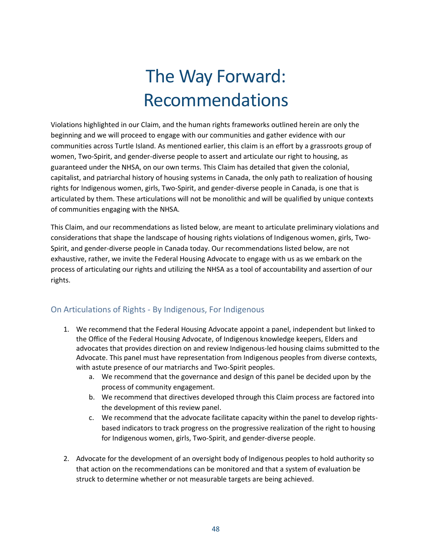# The Way Forward: Recommendations

Violations highlighted in our Claim, and the human rights frameworks outlined herein are only the beginning and we will proceed to engage with our communities and gather evidence with our communities across Turtle Island. As mentioned earlier, this claim is an effort by a grassroots group of women, Two-Spirit, and gender-diverse people to assert and articulate our right to housing, as guaranteed under the NHSA, on our own terms. This Claim has detailed that given the colonial, capitalist, and patriarchal history of housing systems in Canada, the only path to realization of housing rights for Indigenous women, girls, Two-Spirit, and gender-diverse people in Canada, is one that is articulated by them. These articulations will not be monolithic and will be qualified by unique contexts of communities engaging with the NHSA.

This Claim, and our recommendations as listed below, are meant to articulate preliminary violations and considerations that shape the landscape of housing rights violations of Indigenous women, girls, Two-Spirit, and gender-diverse people in Canada today. Our recommendations listed below, are not exhaustive, rather, we invite the Federal Housing Advocate to engage with us as we embark on the process of articulating our rights and utilizing the NHSA as a tool of accountability and assertion of our rights.

#### <span id="page-47-0"></span>On Articulations of Rights - By Indigenous, For Indigenous

- 1. We recommend that the Federal Housing Advocate appoint a panel, independent but linked to the Office of the Federal Housing Advocate, of Indigenous knowledge keepers, Elders and advocates that provides direction on and review Indigenous-led housing claims submitted to the Advocate. This panel must have representation from Indigenous peoples from diverse contexts, with astute presence of our matriarchs and Two-Spirit peoples.
	- a. We recommend that the governance and design of this panel be decided upon by the process of community engagement.
	- b. We recommend that directives developed through this Claim process are factored into the development of this review panel.
	- c. We recommend that the advocate facilitate capacity within the panel to develop rightsbased indicators to track progress on the progressive realization of the right to housing for Indigenous women, girls, Two-Spirit, and gender-diverse people.
- 2. Advocate for the development of an oversight body of Indigenous peoples to hold authority so that action on the recommendations can be monitored and that a system of evaluation be struck to determine whether or not measurable targets are being achieved.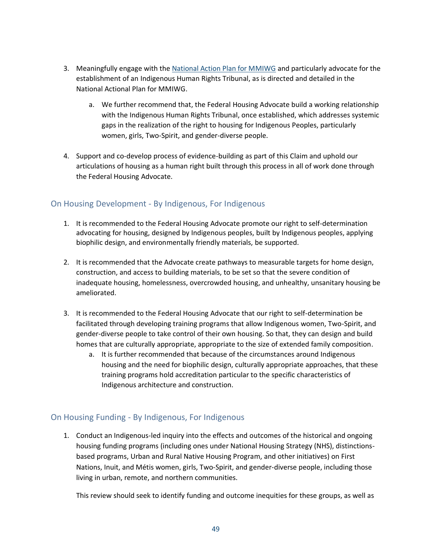- 3. Meaningfully engage with th[e National Action Plan for MMIWG](https://4c3tru4erdnui9g3ggftji1d-wpengine.netdna-ssl.com/wp-content/uploads/2022/06/NAP-progress-report-2022-1.pdf) and particularly advocate for the establishment of an Indigenous Human Rights Tribunal, as is directed and detailed in the National Actional Plan for MMIWG.
	- a. We further recommend that, the Federal Housing Advocate build a working relationship with the Indigenous Human Rights Tribunal, once established, which addresses systemic gaps in the realization of the right to housing for Indigenous Peoples, particularly women, girls, Two-Spirit, and gender-diverse people.
- 4. Support and co-develop process of evidence-building as part of this Claim and uphold our articulations of housing as a human right built through this process in all of work done through the Federal Housing Advocate.

#### <span id="page-48-0"></span>On Housing Development - By Indigenous, For Indigenous

- 1. It is recommended to the Federal Housing Advocate promote our right to self-determination advocating for housing, designed by Indigenous peoples, built by Indigenous peoples, applying biophilic design, and environmentally friendly materials, be supported.
- 2. It is recommended that the Advocate create pathways to measurable targets for home design, construction, and access to building materials, to be set so that the severe condition of inadequate housing, homelessness, overcrowded housing, and unhealthy, unsanitary housing be ameliorated.
- 3. It is recommended to the Federal Housing Advocate that our right to self-determination be facilitated through developing training programs that allow Indigenous women, Two-Spirit, and gender-diverse people to take control of their own housing. So that, they can design and build homes that are culturally appropriate, appropriate to the size of extended family composition.
	- a. It is further recommended that because of the circumstances around Indigenous housing and the need for biophilic design, culturally appropriate approaches, that these training programs hold accreditation particular to the specific characteristics of Indigenous architecture and construction.

#### On Housing Funding - By Indigenous, For Indigenous

1. Conduct an Indigenous-led inquiry into the effects and outcomes of the historical and ongoing housing funding programs (including ones under National Housing Strategy (NHS), distinctionsbased programs, Urban and Rural Native Housing Program, and other initiatives) on First Nations, Inuit, and Métis women, girls, Two-Spirit, and gender-diverse people, including those living in urban, remote, and northern communities.

This review should seek to identify funding and outcome inequities for these groups, as well as